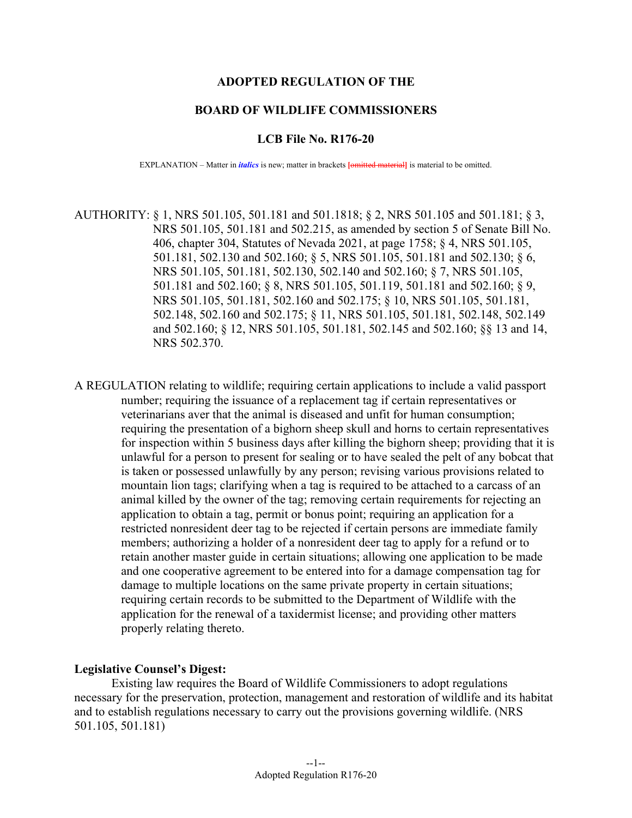#### **ADOPTED REGULATION OF THE**

#### **BOARD OF WILDLIFE COMMISSIONERS**

#### **LCB File No. R176-20**

EXPLANATION – Matter in *italics* is new; matter in brackets **[**omitted material**]** is material to be omitted.

AUTHORITY: § 1, NRS 501.105, 501.181 and 501.1818; § 2, NRS 501.105 and 501.181; § 3, NRS 501.105, 501.181 and 502.215, as amended by section 5 of Senate Bill No. 406, chapter 304, Statutes of Nevada 2021, at page 1758; § 4, NRS 501.105, 501.181, 502.130 and 502.160; § 5, NRS 501.105, 501.181 and 502.130; § 6, NRS 501.105, 501.181, 502.130, 502.140 and 502.160; § 7, NRS 501.105, 501.181 and 502.160; § 8, NRS 501.105, 501.119, 501.181 and 502.160; § 9, NRS 501.105, 501.181, 502.160 and 502.175; § 10, NRS 501.105, 501.181, 502.148, 502.160 and 502.175; § 11, NRS 501.105, 501.181, 502.148, 502.149 and 502.160; § 12, NRS 501.105, 501.181, 502.145 and 502.160; §§ 13 and 14, NRS 502.370.

A REGULATION relating to wildlife; requiring certain applications to include a valid passport number; requiring the issuance of a replacement tag if certain representatives or veterinarians aver that the animal is diseased and unfit for human consumption; requiring the presentation of a bighorn sheep skull and horns to certain representatives for inspection within 5 business days after killing the bighorn sheep; providing that it is unlawful for a person to present for sealing or to have sealed the pelt of any bobcat that is taken or possessed unlawfully by any person; revising various provisions related to mountain lion tags; clarifying when a tag is required to be attached to a carcass of an animal killed by the owner of the tag; removing certain requirements for rejecting an application to obtain a tag, permit or bonus point; requiring an application for a restricted nonresident deer tag to be rejected if certain persons are immediate family members; authorizing a holder of a nonresident deer tag to apply for a refund or to retain another master guide in certain situations; allowing one application to be made and one cooperative agreement to be entered into for a damage compensation tag for damage to multiple locations on the same private property in certain situations; requiring certain records to be submitted to the Department of Wildlife with the application for the renewal of a taxidermist license; and providing other matters properly relating thereto.

#### **Legislative Counsel's Digest:**

Existing law requires the Board of Wildlife Commissioners to adopt regulations necessary for the preservation, protection, management and restoration of wildlife and its habitat and to establish regulations necessary to carry out the provisions governing wildlife. (NRS 501.105, 501.181)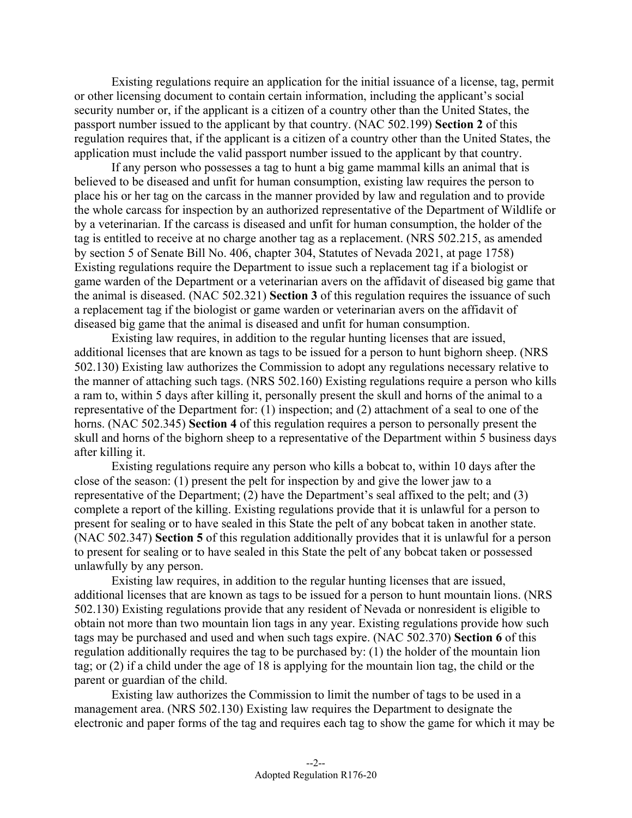Existing regulations require an application for the initial issuance of a license, tag, permit or other licensing document to contain certain information, including the applicant's social security number or, if the applicant is a citizen of a country other than the United States, the passport number issued to the applicant by that country. (NAC 502.199) **Section 2** of this regulation requires that, if the applicant is a citizen of a country other than the United States, the application must include the valid passport number issued to the applicant by that country.

If any person who possesses a tag to hunt a big game mammal kills an animal that is believed to be diseased and unfit for human consumption, existing law requires the person to place his or her tag on the carcass in the manner provided by law and regulation and to provide the whole carcass for inspection by an authorized representative of the Department of Wildlife or by a veterinarian. If the carcass is diseased and unfit for human consumption, the holder of the tag is entitled to receive at no charge another tag as a replacement. (NRS 502.215, as amended by section 5 of Senate Bill No. 406, chapter 304, Statutes of Nevada 2021, at page 1758) Existing regulations require the Department to issue such a replacement tag if a biologist or game warden of the Department or a veterinarian avers on the affidavit of diseased big game that the animal is diseased. (NAC 502.321) **Section 3** of this regulation requires the issuance of such a replacement tag if the biologist or game warden or veterinarian avers on the affidavit of diseased big game that the animal is diseased and unfit for human consumption.

Existing law requires, in addition to the regular hunting licenses that are issued, additional licenses that are known as tags to be issued for a person to hunt bighorn sheep. (NRS 502.130) Existing law authorizes the Commission to adopt any regulations necessary relative to the manner of attaching such tags. (NRS 502.160) Existing regulations require a person who kills a ram to, within 5 days after killing it, personally present the skull and horns of the animal to a representative of the Department for: (1) inspection; and (2) attachment of a seal to one of the horns. (NAC 502.345) **Section 4** of this regulation requires a person to personally present the skull and horns of the bighorn sheep to a representative of the Department within 5 business days after killing it.

Existing regulations require any person who kills a bobcat to, within 10 days after the close of the season: (1) present the pelt for inspection by and give the lower jaw to a representative of the Department; (2) have the Department's seal affixed to the pelt; and (3) complete a report of the killing. Existing regulations provide that it is unlawful for a person to present for sealing or to have sealed in this State the pelt of any bobcat taken in another state. (NAC 502.347) **Section 5** of this regulation additionally provides that it is unlawful for a person to present for sealing or to have sealed in this State the pelt of any bobcat taken or possessed unlawfully by any person.

Existing law requires, in addition to the regular hunting licenses that are issued, additional licenses that are known as tags to be issued for a person to hunt mountain lions. (NRS 502.130) Existing regulations provide that any resident of Nevada or nonresident is eligible to obtain not more than two mountain lion tags in any year. Existing regulations provide how such tags may be purchased and used and when such tags expire. (NAC 502.370) **Section 6** of this regulation additionally requires the tag to be purchased by: (1) the holder of the mountain lion tag; or (2) if a child under the age of 18 is applying for the mountain lion tag, the child or the parent or guardian of the child.

Existing law authorizes the Commission to limit the number of tags to be used in a management area. (NRS 502.130) Existing law requires the Department to designate the electronic and paper forms of the tag and requires each tag to show the game for which it may be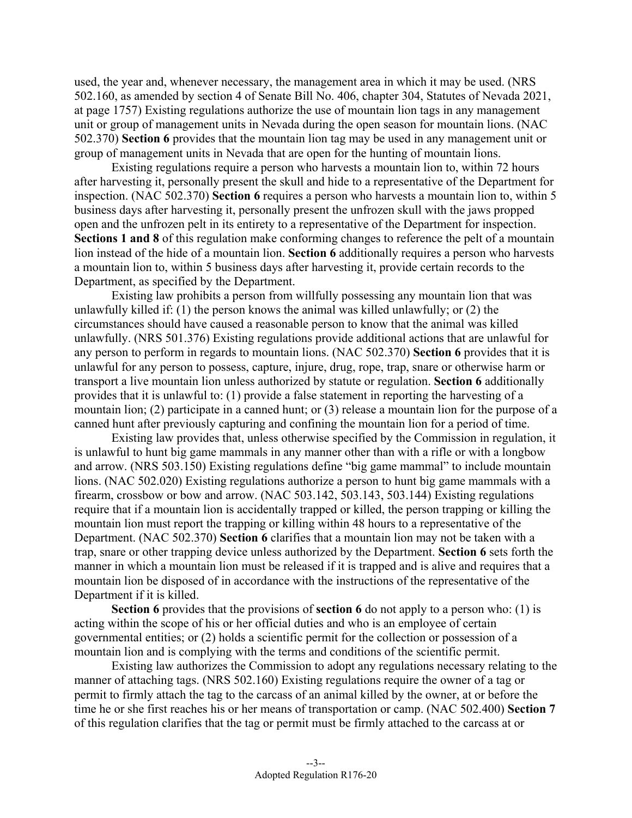used, the year and, whenever necessary, the management area in which it may be used. (NRS 502.160, as amended by section 4 of Senate Bill No. 406, chapter 304, Statutes of Nevada 2021, at page 1757) Existing regulations authorize the use of mountain lion tags in any management unit or group of management units in Nevada during the open season for mountain lions. (NAC 502.370) **Section 6** provides that the mountain lion tag may be used in any management unit or group of management units in Nevada that are open for the hunting of mountain lions.

Existing regulations require a person who harvests a mountain lion to, within 72 hours after harvesting it, personally present the skull and hide to a representative of the Department for inspection. (NAC 502.370) **Section 6** requires a person who harvests a mountain lion to, within 5 business days after harvesting it, personally present the unfrozen skull with the jaws propped open and the unfrozen pelt in its entirety to a representative of the Department for inspection. **Sections 1 and 8** of this regulation make conforming changes to reference the pelt of a mountain lion instead of the hide of a mountain lion. **Section 6** additionally requires a person who harvests a mountain lion to, within 5 business days after harvesting it, provide certain records to the Department, as specified by the Department.

Existing law prohibits a person from willfully possessing any mountain lion that was unlawfully killed if: (1) the person knows the animal was killed unlawfully; or (2) the circumstances should have caused a reasonable person to know that the animal was killed unlawfully. (NRS 501.376) Existing regulations provide additional actions that are unlawful for any person to perform in regards to mountain lions. (NAC 502.370) **Section 6** provides that it is unlawful for any person to possess, capture, injure, drug, rope, trap, snare or otherwise harm or transport a live mountain lion unless authorized by statute or regulation. **Section 6** additionally provides that it is unlawful to: (1) provide a false statement in reporting the harvesting of a mountain lion; (2) participate in a canned hunt; or (3) release a mountain lion for the purpose of a canned hunt after previously capturing and confining the mountain lion for a period of time.

Existing law provides that, unless otherwise specified by the Commission in regulation, it is unlawful to hunt big game mammals in any manner other than with a rifle or with a longbow and arrow. (NRS 503.150) Existing regulations define "big game mammal" to include mountain lions. (NAC 502.020) Existing regulations authorize a person to hunt big game mammals with a firearm, crossbow or bow and arrow. (NAC 503.142, 503.143, 503.144) Existing regulations require that if a mountain lion is accidentally trapped or killed, the person trapping or killing the mountain lion must report the trapping or killing within 48 hours to a representative of the Department. (NAC 502.370) **Section 6** clarifies that a mountain lion may not be taken with a trap, snare or other trapping device unless authorized by the Department. **Section 6** sets forth the manner in which a mountain lion must be released if it is trapped and is alive and requires that a mountain lion be disposed of in accordance with the instructions of the representative of the Department if it is killed.

**Section 6** provides that the provisions of **section 6** do not apply to a person who: (1) is acting within the scope of his or her official duties and who is an employee of certain governmental entities; or (2) holds a scientific permit for the collection or possession of a mountain lion and is complying with the terms and conditions of the scientific permit.

Existing law authorizes the Commission to adopt any regulations necessary relating to the manner of attaching tags. (NRS 502.160) Existing regulations require the owner of a tag or permit to firmly attach the tag to the carcass of an animal killed by the owner, at or before the time he or she first reaches his or her means of transportation or camp. (NAC 502.400) **Section 7**  of this regulation clarifies that the tag or permit must be firmly attached to the carcass at or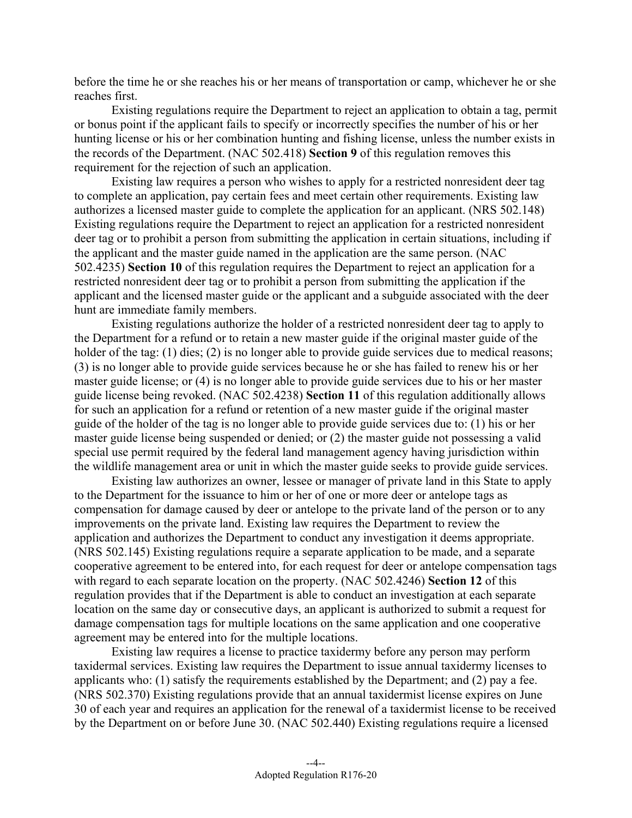before the time he or she reaches his or her means of transportation or camp, whichever he or she reaches first.

Existing regulations require the Department to reject an application to obtain a tag, permit or bonus point if the applicant fails to specify or incorrectly specifies the number of his or her hunting license or his or her combination hunting and fishing license, unless the number exists in the records of the Department. (NAC 502.418) **Section 9** of this regulation removes this requirement for the rejection of such an application.

Existing law requires a person who wishes to apply for a restricted nonresident deer tag to complete an application, pay certain fees and meet certain other requirements. Existing law authorizes a licensed master guide to complete the application for an applicant. (NRS 502.148) Existing regulations require the Department to reject an application for a restricted nonresident deer tag or to prohibit a person from submitting the application in certain situations, including if the applicant and the master guide named in the application are the same person. (NAC 502.4235) **Section 10** of this regulation requires the Department to reject an application for a restricted nonresident deer tag or to prohibit a person from submitting the application if the applicant and the licensed master guide or the applicant and a subguide associated with the deer hunt are immediate family members.

 for such an application for a refund or retention of a new master guide if the original master Existing regulations authorize the holder of a restricted nonresident deer tag to apply to the Department for a refund or to retain a new master guide if the original master guide of the holder of the tag: (1) dies; (2) is no longer able to provide guide services due to medical reasons; (3) is no longer able to provide guide services because he or she has failed to renew his or her master guide license; or (4) is no longer able to provide guide services due to his or her master guide license being revoked. (NAC 502.4238) **Section 11** of this regulation additionally allows guide of the holder of the tag is no longer able to provide guide services due to: (1) his or her master guide license being suspended or denied; or (2) the master guide not possessing a valid special use permit required by the federal land management agency having jurisdiction within the wildlife management area or unit in which the master guide seeks to provide guide services.

Existing law authorizes an owner, lessee or manager of private land in this State to apply to the Department for the issuance to him or her of one or more deer or antelope tags as compensation for damage caused by deer or antelope to the private land of the person or to any improvements on the private land. Existing law requires the Department to review the application and authorizes the Department to conduct any investigation it deems appropriate. (NRS 502.145) Existing regulations require a separate application to be made, and a separate cooperative agreement to be entered into, for each request for deer or antelope compensation tags with regard to each separate location on the property. (NAC 502.4246) **Section 12** of this regulation provides that if the Department is able to conduct an investigation at each separate location on the same day or consecutive days, an applicant is authorized to submit a request for damage compensation tags for multiple locations on the same application and one cooperative agreement may be entered into for the multiple locations.

Existing law requires a license to practice taxidermy before any person may perform taxidermal services. Existing law requires the Department to issue annual taxidermy licenses to applicants who: (1) satisfy the requirements established by the Department; and (2) pay a fee. (NRS 502.370) Existing regulations provide that an annual taxidermist license expires on June 30 of each year and requires an application for the renewal of a taxidermist license to be received by the Department on or before June 30. (NAC 502.440) Existing regulations require a licensed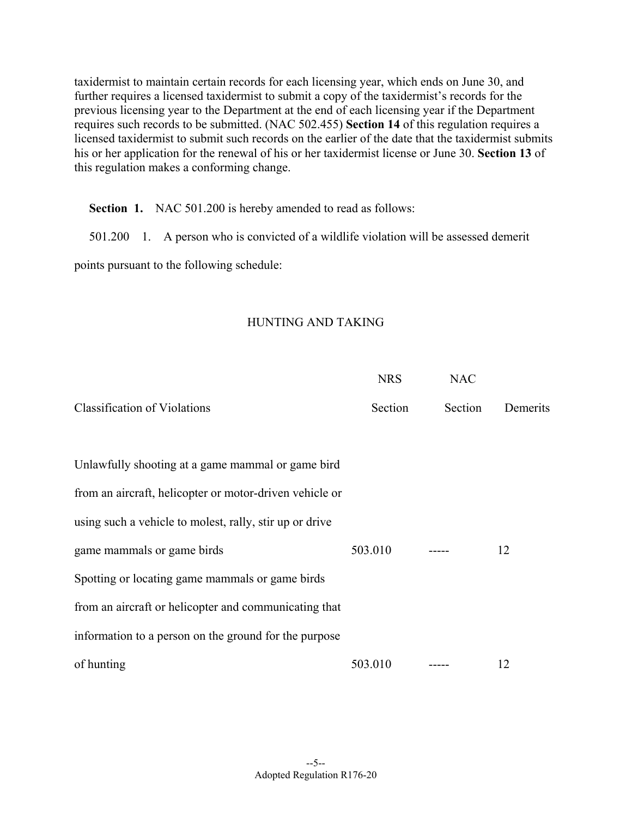taxidermist to maintain certain records for each licensing year, which ends on June 30, and further requires a licensed taxidermist to submit a copy of the taxidermist's records for the previous licensing year to the Department at the end of each licensing year if the Department requires such records to be submitted. (NAC 502.455) **Section 14** of this regulation requires a licensed taxidermist to submit such records on the earlier of the date that the taxidermist submits his or her application for the renewal of his or her taxidermist license or June 30. **Section 13** of this regulation makes a conforming change.

**Section 1.** NAC 501.200 is hereby amended to read as follows:

501.200 1. A person who is convicted of a wildlife violation will be assessed demerit

points pursuant to the following schedule:

#### HUNTING AND TAKING

|                                                         | <b>NRS</b> | <b>NAC</b> |          |
|---------------------------------------------------------|------------|------------|----------|
| <b>Classification of Violations</b>                     | Section    | Section    | Demerits |
|                                                         |            |            |          |
| Unlawfully shooting at a game mammal or game bird       |            |            |          |
| from an aircraft, helicopter or motor-driven vehicle or |            |            |          |
| using such a vehicle to molest, rally, stir up or drive |            |            |          |
| game mammals or game birds                              | 503.010    |            | 12       |
| Spotting or locating game mammals or game birds         |            |            |          |
| from an aircraft or helicopter and communicating that   |            |            |          |
| information to a person on the ground for the purpose   |            |            |          |
| of hunting                                              | 503.010    |            | 12       |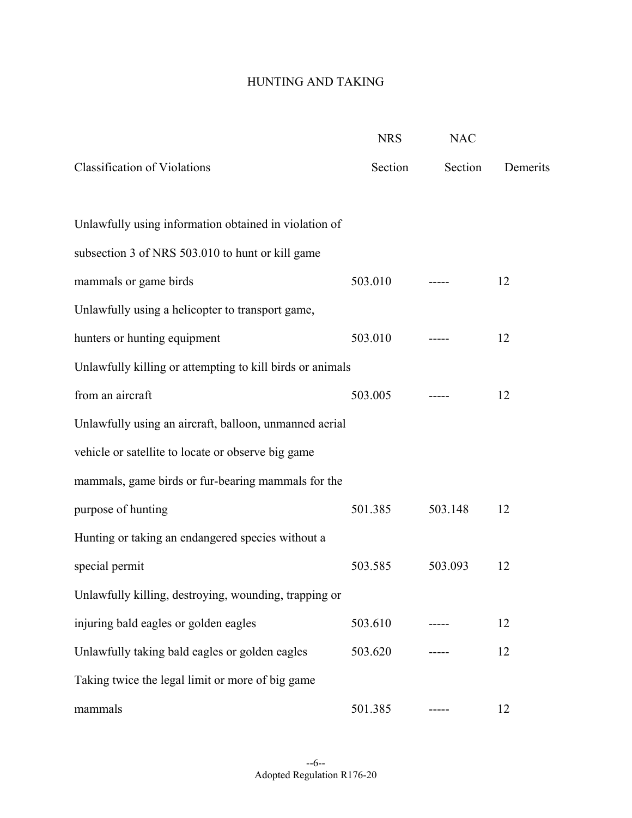## HUNTING AND TAKING

|                                                           | <b>NRS</b> | <b>NAC</b> |          |
|-----------------------------------------------------------|------------|------------|----------|
| <b>Classification of Violations</b>                       | Section    | Section    | Demerits |
| Unlawfully using information obtained in violation of     |            |            |          |
| subsection 3 of NRS 503.010 to hunt or kill game          |            |            |          |
| mammals or game birds                                     | 503.010    |            | 12       |
| Unlawfully using a helicopter to transport game,          |            |            |          |
| hunters or hunting equipment                              | 503.010    |            | 12       |
| Unlawfully killing or attempting to kill birds or animals |            |            |          |
| from an aircraft                                          | 503.005    |            | 12       |
| Unlawfully using an aircraft, balloon, unmanned aerial    |            |            |          |
| vehicle or satellite to locate or observe big game        |            |            |          |
| mammals, game birds or fur-bearing mammals for the        |            |            |          |
| purpose of hunting                                        | 501.385    | 503.148    | 12       |
| Hunting or taking an endangered species without a         |            |            |          |
| special permit                                            | 503.585    | 503.093    | 12       |
| Unlawfully killing, destroying, wounding, trapping or     |            |            |          |
| injuring bald eagles or golden eagles                     | 503.610    |            | 12       |
| Unlawfully taking bald eagles or golden eagles            | 503.620    |            | 12       |
| Taking twice the legal limit or more of big game          |            |            |          |
| mammals                                                   | 501.385    |            | 12       |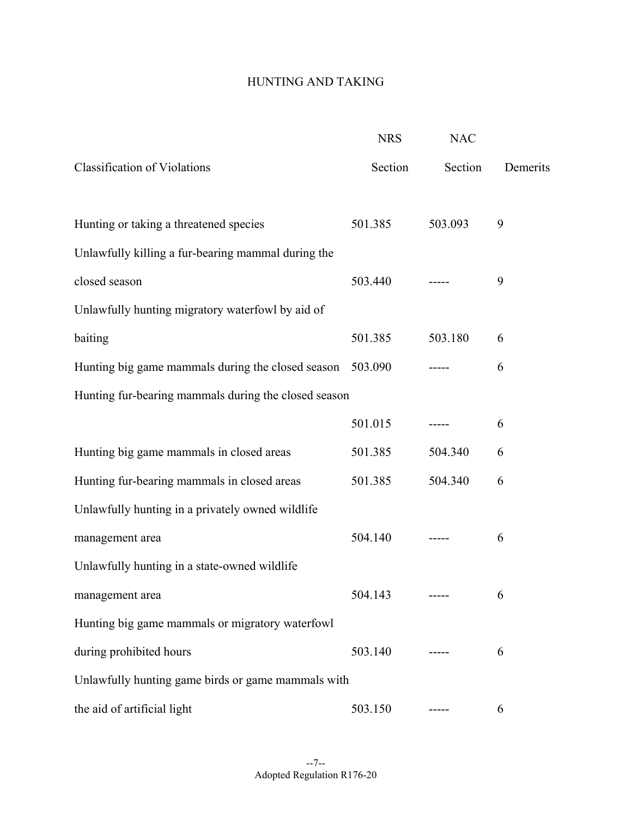## HUNTING AND TAKING

|                                                      | <b>NRS</b> | <b>NAC</b> |          |
|------------------------------------------------------|------------|------------|----------|
| <b>Classification of Violations</b>                  | Section    | Section    | Demerits |
| Hunting or taking a threatened species               | 501.385    | 503.093    | 9        |
| Unlawfully killing a fur-bearing mammal during the   |            |            |          |
| closed season                                        | 503.440    |            | 9        |
| Unlawfully hunting migratory waterfowl by aid of     |            |            |          |
| baiting                                              | 501.385    | 503.180    | 6        |
| Hunting big game mammals during the closed season    | 503.090    |            | 6        |
| Hunting fur-bearing mammals during the closed season |            |            |          |
|                                                      | 501.015    |            | 6        |
| Hunting big game mammals in closed areas             | 501.385    | 504.340    | 6        |
| Hunting fur-bearing mammals in closed areas          | 501.385    | 504.340    | 6        |
| Unlawfully hunting in a privately owned wildlife     |            |            |          |
| management area                                      | 504.140    |            | 6        |
| Unlawfully hunting in a state-owned wildlife         |            |            |          |
| management area                                      | 504.143    |            | 6        |
| Hunting big game mammals or migratory waterfowl      |            |            |          |
| during prohibited hours                              | 503.140    |            | 6        |
| Unlawfully hunting game birds or game mammals with   |            |            |          |
| the aid of artificial light                          | 503.150    |            | 6        |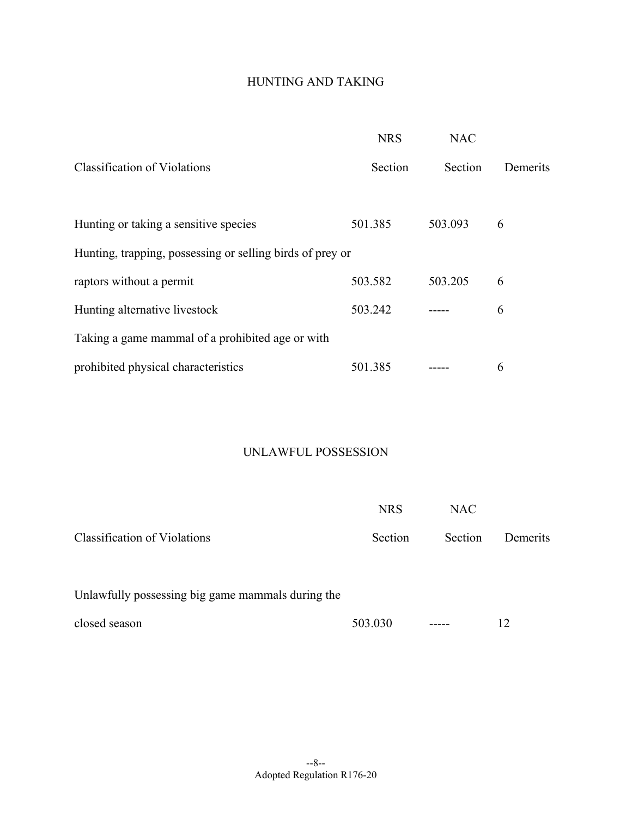## HUNTING AND TAKING

|                                                           | <b>NRS</b> | <b>NAC</b> |          |
|-----------------------------------------------------------|------------|------------|----------|
| <b>Classification of Violations</b>                       | Section    | Section    | Demerits |
| Hunting or taking a sensitive species                     | 501.385    | 503.093    | 6        |
| Hunting, trapping, possessing or selling birds of prey or |            |            |          |
| raptors without a permit                                  | 503.582    | 503.205    | 6        |
| Hunting alternative livestock                             | 503.242    |            | 6        |
| Taking a game mammal of a prohibited age or with          |            |            |          |
| prohibited physical characteristics                       | 501.385    |            | 6        |

#### UNLAWFUL POSSESSION

|                                                   | <b>NRS</b> | <b>NAC</b> |          |
|---------------------------------------------------|------------|------------|----------|
| Classification of Violations                      | Section    | Section    | Demerits |
| Unlawfully possessing big game mammals during the |            |            |          |
| closed season                                     | 503.030    |            | 12       |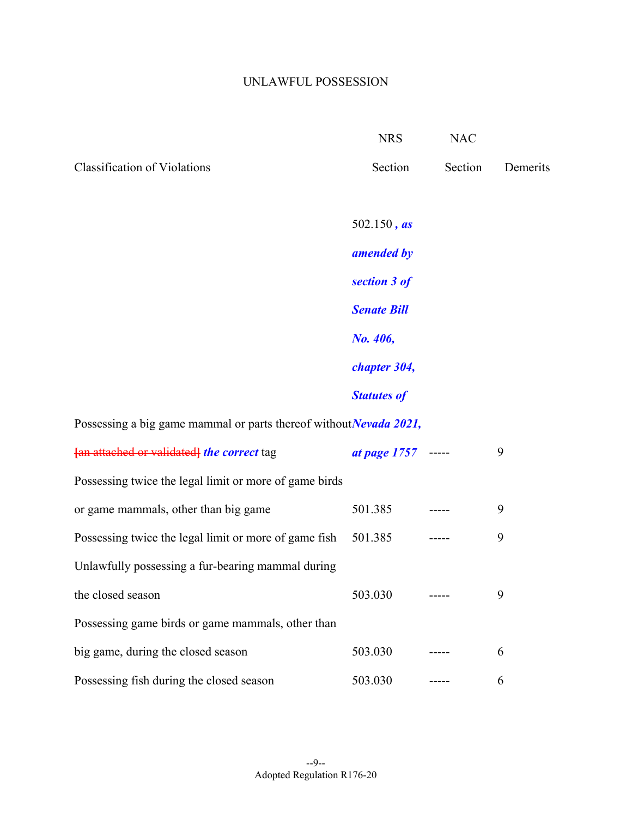## UNLAWFUL POSSESSION

|                                                                    | <b>NRS</b>         | <b>NAC</b> |          |
|--------------------------------------------------------------------|--------------------|------------|----------|
| <b>Classification of Violations</b>                                | Section            | Section    | Demerits |
|                                                                    | 502.150, $as$      |            |          |
|                                                                    | amended by         |            |          |
|                                                                    | section 3 of       |            |          |
|                                                                    | <b>Senate Bill</b> |            |          |
|                                                                    | No. 406,           |            |          |
|                                                                    | chapter 304,       |            |          |
|                                                                    | <b>Statutes of</b> |            |          |
| Possessing a big game mammal or parts thereof without Nevada 2021, |                    |            |          |
| [an attached or validated] the correct tag                         | at page 1757 ----- |            | 9        |
| Possessing twice the legal limit or more of game birds             |                    |            |          |
| or game mammals, other than big game                               | 501.385            |            | 9        |
| Possessing twice the legal limit or more of game fish              | 501.385            |            | 9        |
| Unlawfully possessing a fur-bearing mammal during                  |                    |            |          |
| the closed season                                                  | 503.030            |            | 9        |
| Possessing game birds or game mammals, other than                  |                    |            |          |
| big game, during the closed season                                 | 503.030            |            | 6        |
| Possessing fish during the closed season                           | 503.030            |            | 6        |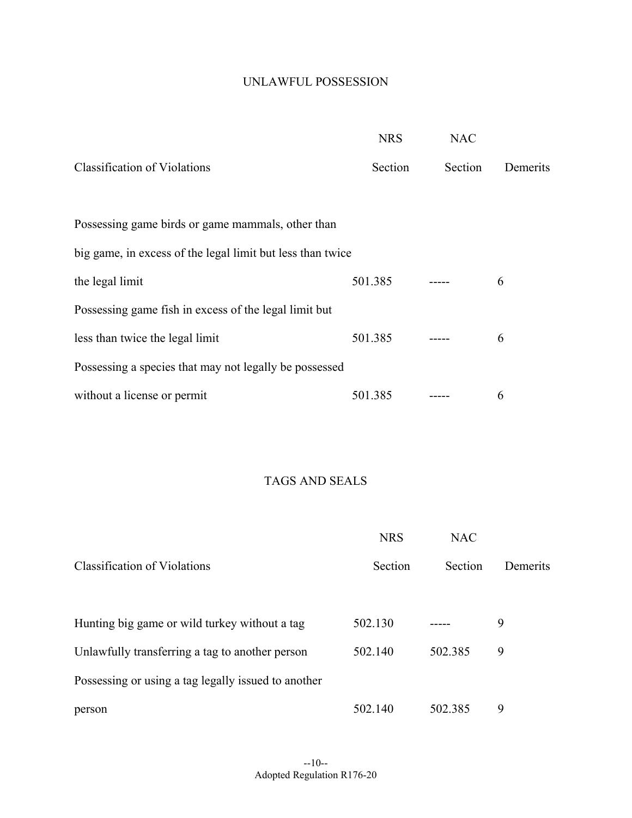### UNLAWFUL POSSESSION

|                                                            | <b>NRS</b> | <b>NAC</b> |          |
|------------------------------------------------------------|------------|------------|----------|
| <b>Classification of Violations</b>                        | Section    | Section    | Demerits |
|                                                            |            |            |          |
| Possessing game birds or game mammals, other than          |            |            |          |
| big game, in excess of the legal limit but less than twice |            |            |          |
| the legal limit                                            | 501.385    |            | 6        |
| Possessing game fish in excess of the legal limit but      |            |            |          |
| less than twice the legal limit                            | 501.385    |            | 6        |
| Possessing a species that may not legally be possessed     |            |            |          |
| without a license or permit                                | 501.385    |            | 6        |

# TAGS AND SEALS

|                                                     | <b>NRS</b> | <b>NAC</b> |          |
|-----------------------------------------------------|------------|------------|----------|
| <b>Classification of Violations</b>                 | Section    | Section    | Demerits |
| Hunting big game or wild turkey without a tag       | 502.130    |            | 9        |
| Unlawfully transferring a tag to another person     | 502.140    | 502.385    | 9        |
| Possessing or using a tag legally issued to another |            |            |          |
| person                                              | 502.140    | 502.385    | 9        |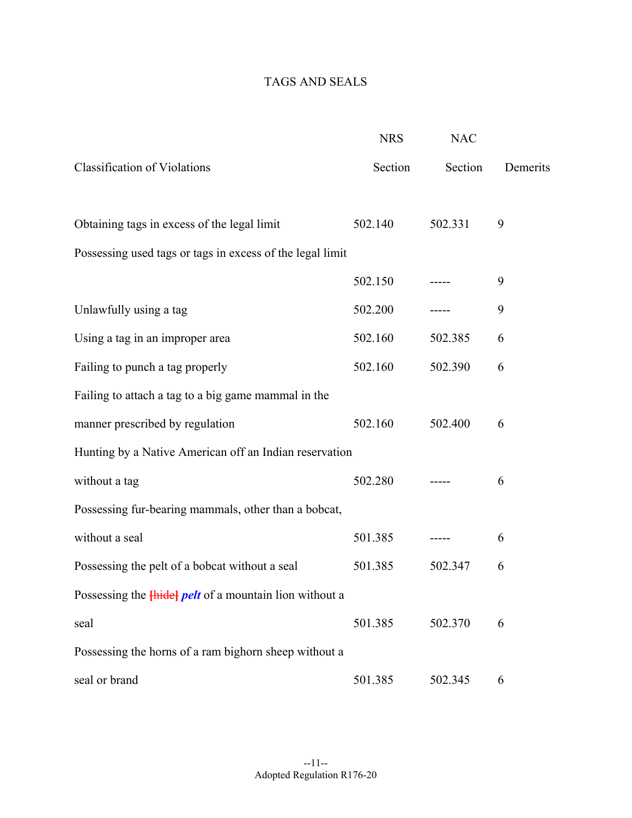# TAGS AND SEALS

|                                                               | <b>NRS</b> | <b>NAC</b> |          |
|---------------------------------------------------------------|------------|------------|----------|
| <b>Classification of Violations</b>                           | Section    | Section    | Demerits |
| Obtaining tags in excess of the legal limit                   | 502.140    | 502.331    | 9        |
| Possessing used tags or tags in excess of the legal limit     |            |            |          |
|                                                               | 502.150    |            | 9        |
| Unlawfully using a tag                                        | 502.200    |            | 9        |
| Using a tag in an improper area                               | 502.160    | 502.385    | 6        |
| Failing to punch a tag properly                               | 502.160    | 502.390    | 6        |
| Failing to attach a tag to a big game mammal in the           |            |            |          |
| manner prescribed by regulation                               | 502.160    | 502.400    | 6        |
| Hunting by a Native American off an Indian reservation        |            |            |          |
| without a tag                                                 | 502.280    |            | 6        |
| Possessing fur-bearing mammals, other than a bobcat,          |            |            |          |
| without a seal                                                | 501.385    |            | 6        |
| Possessing the pelt of a bobcat without a seal                | 501.385    | 502.347    | 6        |
| Possessing the <i>Hidel pelt</i> of a mountain lion without a |            |            |          |
| seal                                                          | 501.385    | 502.370    | 6        |
| Possessing the horns of a ram bighorn sheep without a         |            |            |          |
| seal or brand                                                 | 501.385    | 502.345    | 6        |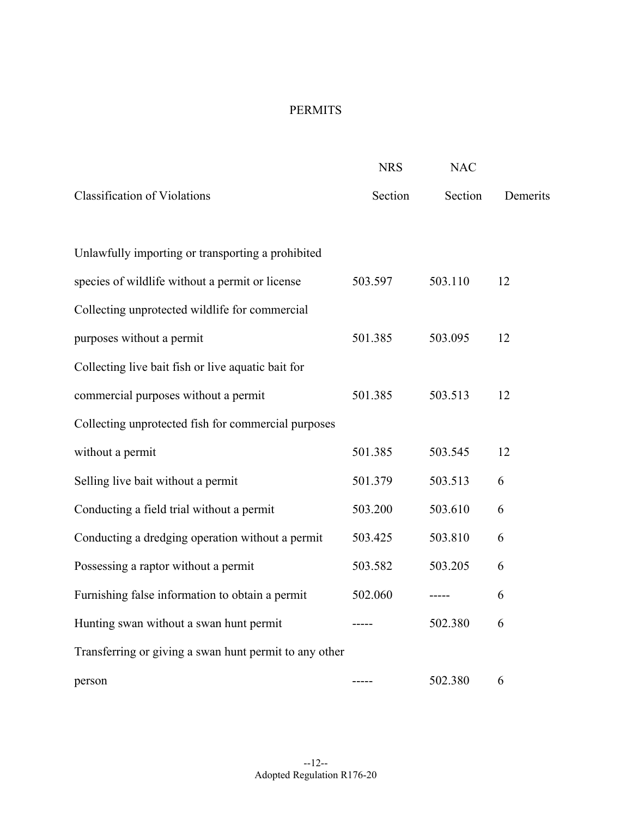## PERMITS

|                                                        | <b>NRS</b> | <b>NAC</b> |          |
|--------------------------------------------------------|------------|------------|----------|
| <b>Classification of Violations</b>                    | Section    | Section    | Demerits |
| Unlawfully importing or transporting a prohibited      |            |            |          |
|                                                        |            |            |          |
| species of wildlife without a permit or license        | 503.597    | 503.110    | 12       |
| Collecting unprotected wildlife for commercial         |            |            |          |
| purposes without a permit                              | 501.385    | 503.095    | 12       |
| Collecting live bait fish or live aquatic bait for     |            |            |          |
| commercial purposes without a permit                   | 501.385    | 503.513    | 12       |
| Collecting unprotected fish for commercial purposes    |            |            |          |
| without a permit                                       | 501.385    | 503.545    | 12       |
| Selling live bait without a permit                     | 501.379    | 503.513    | 6        |
| Conducting a field trial without a permit              | 503.200    | 503.610    | 6        |
| Conducting a dredging operation without a permit       | 503.425    | 503.810    | 6        |
| Possessing a raptor without a permit                   | 503.582    | 503.205    | 6        |
| Furnishing false information to obtain a permit        | 502.060    |            | 6        |
| Hunting swan without a swan hunt permit                |            | 502.380    | 6        |
| Transferring or giving a swan hunt permit to any other |            |            |          |
| person                                                 |            | 502.380    | 6        |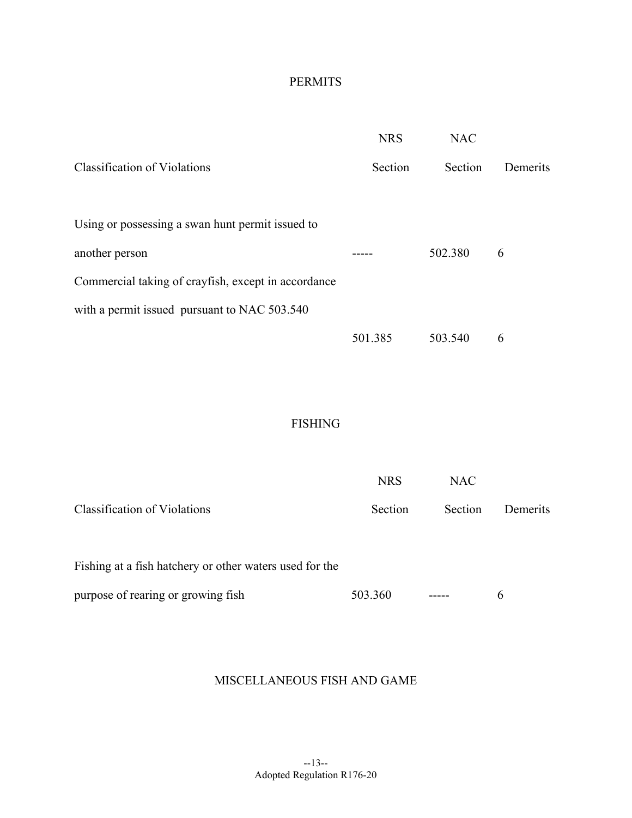## PERMITS

|                                                     | <b>NRS</b> | <b>NAC</b> |          |
|-----------------------------------------------------|------------|------------|----------|
| <b>Classification of Violations</b>                 | Section    | Section    | Demerits |
| Using or possessing a swan hunt permit issued to    |            |            |          |
| another person                                      |            | 502.380    | 6        |
| Commercial taking of crayfish, except in accordance |            |            |          |
| with a permit issued pursuant to NAC 503.540        |            |            |          |
|                                                     | 501.385    | 503.540    | 6        |
|                                                     |            |            |          |
|                                                     |            |            |          |
| <b>FISHING</b>                                      |            |            |          |
|                                                     |            |            |          |
|                                                     | <b>NRS</b> | <b>NAC</b> |          |
| <b>Classification of Violations</b>                 | Section    | Section    | Demerits |

| Fishing at a fish hatchery or other waters used for the |         |               |  |
|---------------------------------------------------------|---------|---------------|--|
| purpose of rearing or growing fish                      | 503.360 | $\frac{1}{2}$ |  |

#### MISCELLANEOUS FISH AND GAME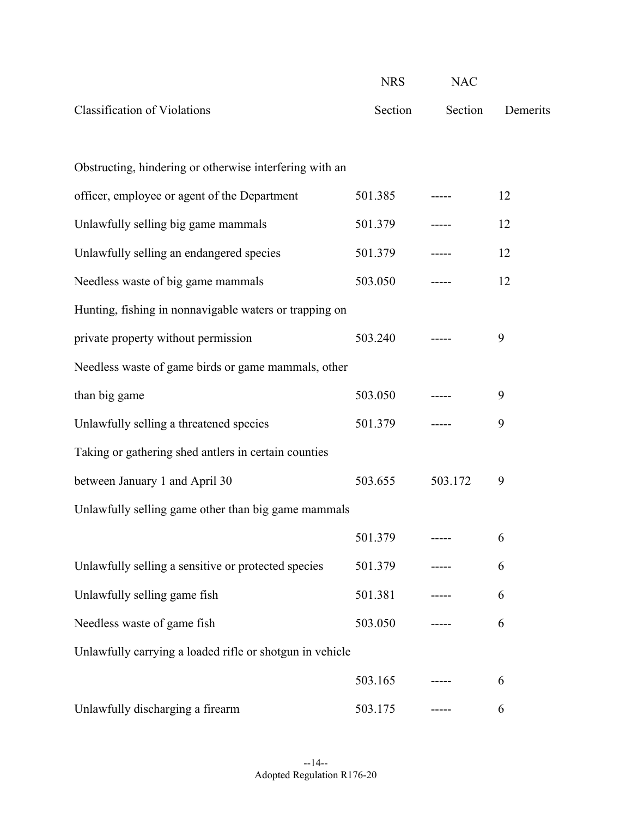|                                                          | <b>NRS</b> | <b>NAC</b> |          |
|----------------------------------------------------------|------------|------------|----------|
| <b>Classification of Violations</b>                      | Section    | Section    | Demerits |
|                                                          |            |            |          |
| Obstructing, hindering or otherwise interfering with an  |            |            |          |
| officer, employee or agent of the Department             | 501.385    |            | 12       |
| Unlawfully selling big game mammals                      | 501.379    |            | 12       |
| Unlawfully selling an endangered species                 | 501.379    |            | 12       |
| Needless waste of big game mammals                       | 503.050    |            | 12       |
| Hunting, fishing in nonnavigable waters or trapping on   |            |            |          |
| private property without permission                      | 503.240    |            | 9        |
| Needless waste of game birds or game mammals, other      |            |            |          |
| than big game                                            | 503.050    |            | 9        |
| Unlawfully selling a threatened species                  | 501.379    |            | 9        |
| Taking or gathering shed antlers in certain counties     |            |            |          |
| between January 1 and April 30                           | 503.655    | 503.172    | 9        |
| Unlawfully selling game other than big game mammals      |            |            |          |
|                                                          | 501.379    | -----      | 6        |
| Unlawfully selling a sensitive or protected species      | 501.379    |            | 6        |
| Unlawfully selling game fish                             | 501.381    |            | 6        |
| Needless waste of game fish                              | 503.050    |            | 6        |
| Unlawfully carrying a loaded rifle or shotgun in vehicle |            |            |          |
|                                                          | 503.165    |            | 6        |
| Unlawfully discharging a firearm                         | 503.175    |            | 6        |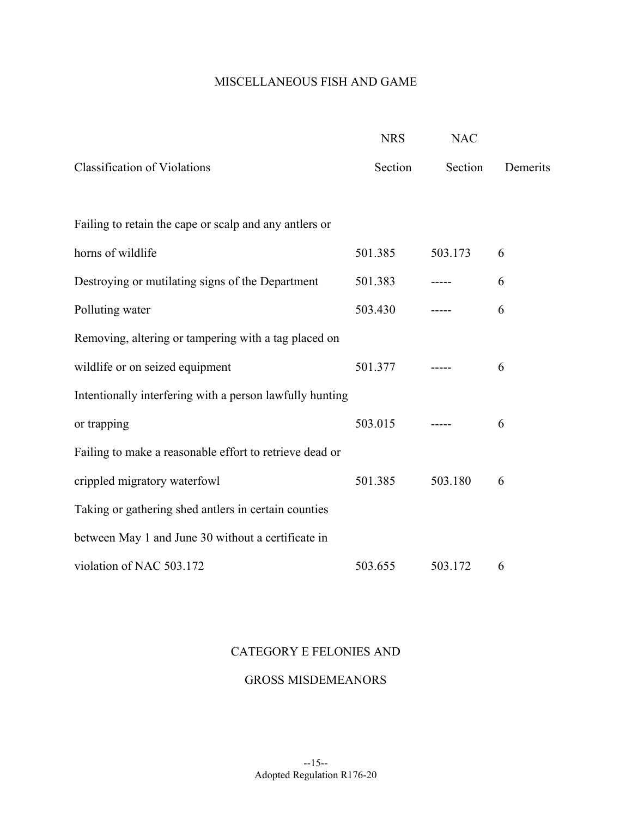## MISCELLANEOUS FISH AND GAME

|                                                          | <b>NRS</b> | <b>NAC</b> |          |
|----------------------------------------------------------|------------|------------|----------|
| <b>Classification of Violations</b>                      | Section    | Section    | Demerits |
|                                                          |            |            |          |
| Failing to retain the cape or scalp and any antlers or   |            |            |          |
| horns of wildlife                                        | 501.385    | 503.173    | 6        |
| Destroying or mutilating signs of the Department         | 501.383    |            | 6        |
| Polluting water                                          | 503.430    |            | 6        |
| Removing, altering or tampering with a tag placed on     |            |            |          |
| wildlife or on seized equipment                          | 501.377    |            | 6        |
| Intentionally interfering with a person lawfully hunting |            |            |          |
| or trapping                                              | 503.015    |            | 6        |
| Failing to make a reasonable effort to retrieve dead or  |            |            |          |
| crippled migratory waterfowl                             | 501.385    | 503.180    | 6        |
| Taking or gathering shed antlers in certain counties     |            |            |          |
| between May 1 and June 30 without a certificate in       |            |            |          |
| violation of NAC 503.172                                 | 503.655    | 503.172    | 6        |

#### CATEGORY E FELONIES AND

#### GROSS MISDEMEANORS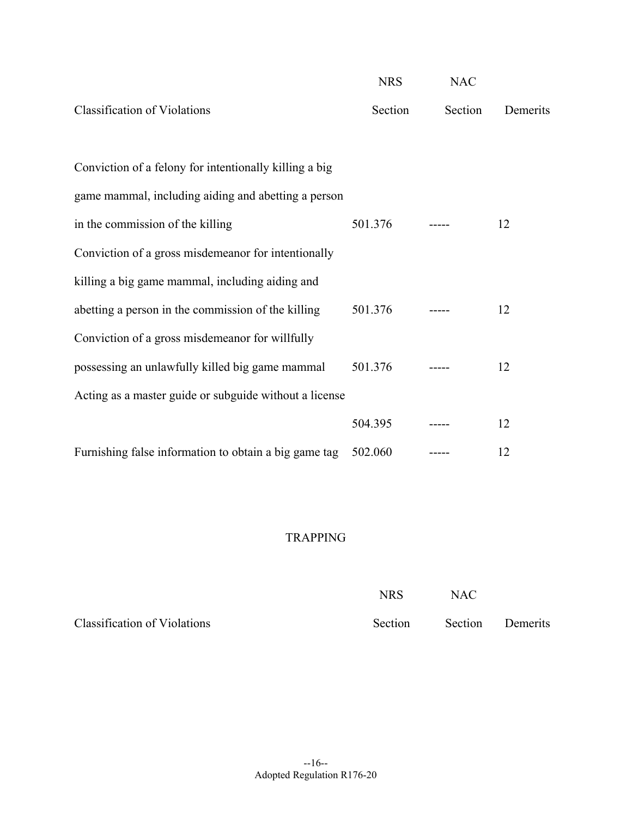|                                                        | <b>NRS</b> | <b>NAC</b> |          |
|--------------------------------------------------------|------------|------------|----------|
| <b>Classification of Violations</b>                    | Section    | Section    | Demerits |
| Conviction of a felony for intentionally killing a big |            |            |          |
|                                                        |            |            |          |
| game mammal, including aiding and abetting a person    |            |            |          |
| in the commission of the killing                       | 501.376    |            | 12       |
| Conviction of a gross misdemeanor for intentionally    |            |            |          |
| killing a big game mammal, including aiding and        |            |            |          |
| abetting a person in the commission of the killing     | 501.376    |            | 12       |
| Conviction of a gross misdemeanor for willfully        |            |            |          |
| possessing an unlawfully killed big game mammal        | 501.376    |            | 12       |
| Acting as a master guide or subguide without a license |            |            |          |
|                                                        | 504.395    |            | 12       |
| Furnishing false information to obtain a big game tag  | 502.060    |            | 12       |

#### TRAPPING

|                              | <b>NRS</b> | <b>NAC</b> |                  |
|------------------------------|------------|------------|------------------|
| Classification of Violations | Section    |            | Section Demerits |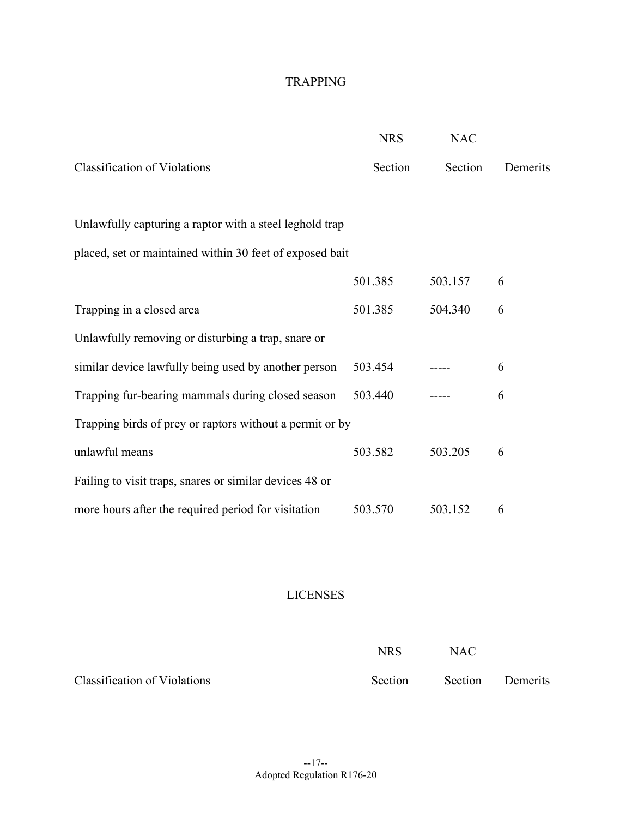### TRAPPING

|                                                          | <b>NRS</b> | <b>NAC</b> |          |
|----------------------------------------------------------|------------|------------|----------|
| <b>Classification of Violations</b>                      | Section    | Section    | Demerits |
|                                                          |            |            |          |
| Unlawfully capturing a raptor with a steel leghold trap  |            |            |          |
| placed, set or maintained within 30 feet of exposed bait |            |            |          |
|                                                          | 501.385    | 503.157    | 6        |
| Trapping in a closed area                                | 501.385    | 504.340    | 6        |
| Unlawfully removing or disturbing a trap, snare or       |            |            |          |
| similar device lawfully being used by another person     | 503.454    |            | 6        |
| Trapping fur-bearing mammals during closed season        | 503.440    |            | 6        |
| Trapping birds of prey or raptors without a permit or by |            |            |          |
| unlawful means                                           | 503.582    | 503.205    | 6        |
| Failing to visit traps, snares or similar devices 48 or  |            |            |          |
| more hours after the required period for visitation      | 503.570    | 503.152    | 6        |

## LICENSES

|                              | NRS     | <b>NAC</b> |                  |
|------------------------------|---------|------------|------------------|
| Classification of Violations | Section |            | Section Demerits |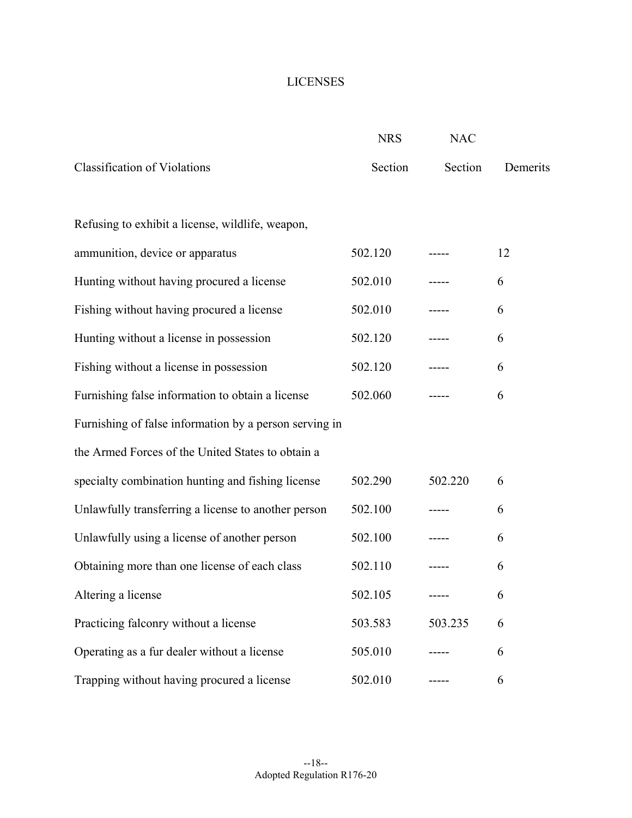### LICENSES

|                                                        | <b>NRS</b> | <b>NAC</b> |          |
|--------------------------------------------------------|------------|------------|----------|
| <b>Classification of Violations</b>                    | Section    | Section    | Demerits |
|                                                        |            |            |          |
| Refusing to exhibit a license, wildlife, weapon,       |            |            |          |
| ammunition, device or apparatus                        | 502.120    |            | 12       |
| Hunting without having procured a license              | 502.010    |            | 6        |
| Fishing without having procured a license              | 502.010    |            | 6        |
| Hunting without a license in possession                | 502.120    |            | 6        |
| Fishing without a license in possession                | 502.120    |            | 6        |
| Furnishing false information to obtain a license       | 502.060    |            | 6        |
| Furnishing of false information by a person serving in |            |            |          |
| the Armed Forces of the United States to obtain a      |            |            |          |
| specialty combination hunting and fishing license      | 502.290    | 502.220    | 6        |
| Unlawfully transferring a license to another person    | 502.100    |            | 6        |
| Unlawfully using a license of another person           | 502.100    |            | 6        |
| Obtaining more than one license of each class          | 502.110    |            | 6        |
| Altering a license                                     | 502.105    |            | 6        |
| Practicing falconry without a license                  | 503.583    | 503.235    | 6        |
| Operating as a fur dealer without a license            | 505.010    |            | 6        |
| Trapping without having procured a license             | 502.010    |            | 6        |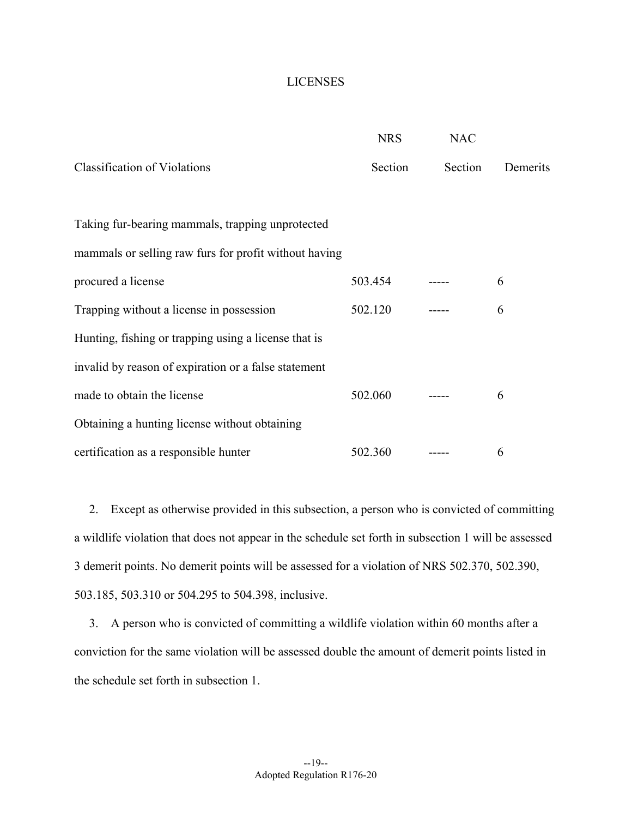#### LICENSES

|                                                       | <b>NRS</b> | <b>NAC</b> |          |
|-------------------------------------------------------|------------|------------|----------|
| <b>Classification of Violations</b>                   | Section    | Section    | Demerits |
|                                                       |            |            |          |
| Taking fur-bearing mammals, trapping unprotected      |            |            |          |
| mammals or selling raw furs for profit without having |            |            |          |
| procured a license                                    | 503.454    |            | 6        |
| Trapping without a license in possession              | 502.120    |            | 6        |
| Hunting, fishing or trapping using a license that is  |            |            |          |
| invalid by reason of expiration or a false statement  |            |            |          |
| made to obtain the license                            | 502.060    |            | 6        |
| Obtaining a hunting license without obtaining         |            |            |          |
| certification as a responsible hunter                 | 502.360    |            | 6        |

2. Except as otherwise provided in this subsection, a person who is convicted of committing a wildlife violation that does not appear in the schedule set forth in subsection 1 will be assessed 3 demerit points. No demerit points will be assessed for a violation of NRS 502.370, 502.390, 503.185, 503.310 or 504.295 to 504.398, inclusive.

3. A person who is convicted of committing a wildlife violation within 60 months after a conviction for the same violation will be assessed double the amount of demerit points listed in the schedule set forth in subsection 1.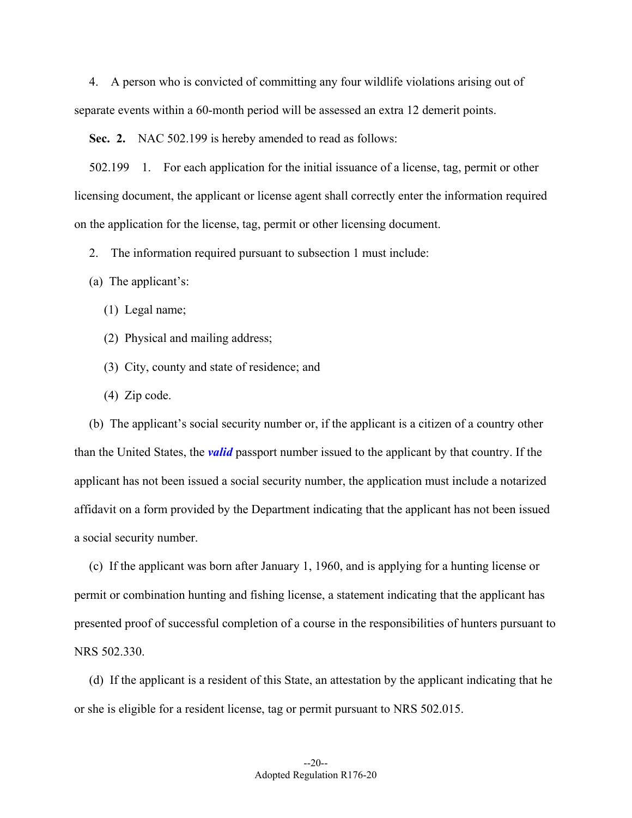4. A person who is convicted of committing any four wildlife violations arising out of separate events within a 60-month period will be assessed an extra 12 demerit points.

**Sec. 2.** NAC 502.199 is hereby amended to read as follows:

502.199 1. For each application for the initial issuance of a license, tag, permit or other licensing document, the applicant or license agent shall correctly enter the information required on the application for the license, tag, permit or other licensing document.

2. The information required pursuant to subsection 1 must include:

(a) The applicant's:

(1) Legal name;

(2) Physical and mailing address;

(3) City, county and state of residence; and

(4) Zip code.

(b) The applicant's social security number or, if the applicant is a citizen of a country other than the United States, the *valid* passport number issued to the applicant by that country. If the applicant has not been issued a social security number, the application must include a notarized affidavit on a form provided by the Department indicating that the applicant has not been issued a social security number.

(c) If the applicant was born after January 1, 1960, and is applying for a hunting license or permit or combination hunting and fishing license, a statement indicating that the applicant has presented proof of successful completion of a course in the responsibilities of hunters pursuant to NRS 502.330.

(d) If the applicant is a resident of this State, an attestation by the applicant indicating that he or she is eligible for a resident license, tag or permit pursuant to NRS 502.015.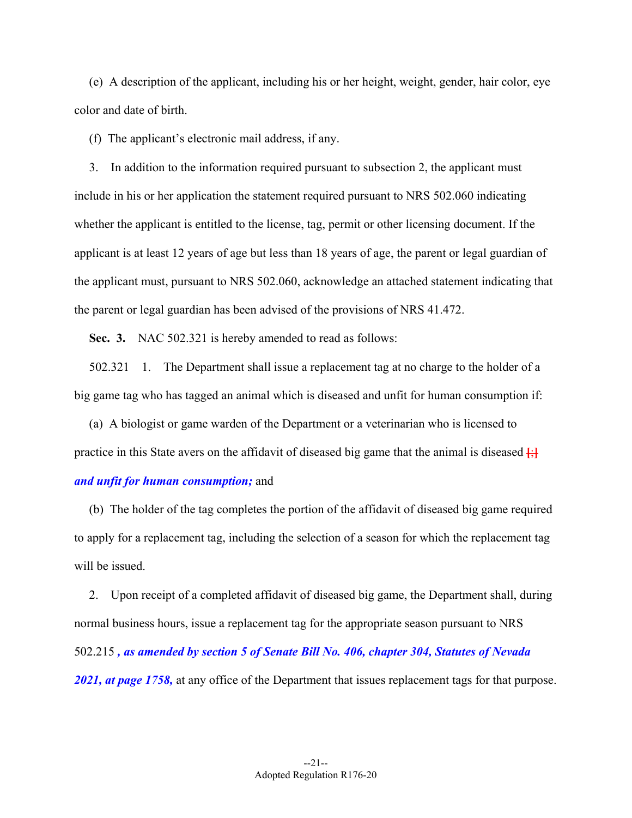(e) A description of the applicant, including his or her height, weight, gender, hair color, eye color and date of birth.

(f) The applicant's electronic mail address, if any.

3. In addition to the information required pursuant to subsection 2, the applicant must include in his or her application the statement required pursuant to NRS 502.060 indicating whether the applicant is entitled to the license, tag, permit or other licensing document. If the applicant is at least 12 years of age but less than 18 years of age, the parent or legal guardian of the applicant must, pursuant to NRS 502.060, acknowledge an attached statement indicating that the parent or legal guardian has been advised of the provisions of NRS 41.472.

**Sec. 3.** NAC 502.321 is hereby amended to read as follows:

502.321 1. The Department shall issue a replacement tag at no charge to the holder of a big game tag who has tagged an animal which is diseased and unfit for human consumption if:

practice in this State avers on the affidavit of diseased big game that the animal is diseased  $\left\{\cdot\right\}$ (a) A biologist or game warden of the Department or a veterinarian who is licensed to *and unfit for human consumption;* and

(b) The holder of the tag completes the portion of the affidavit of diseased big game required to apply for a replacement tag, including the selection of a season for which the replacement tag will be issued.

2. Upon receipt of a completed affidavit of diseased big game, the Department shall, during normal business hours, issue a replacement tag for the appropriate season pursuant to NRS 502.215 *, as amended by section 5 of Senate Bill No. 406, chapter 304, Statutes of Nevada 2021, at page 1758,* at any office of the Department that issues replacement tags for that purpose.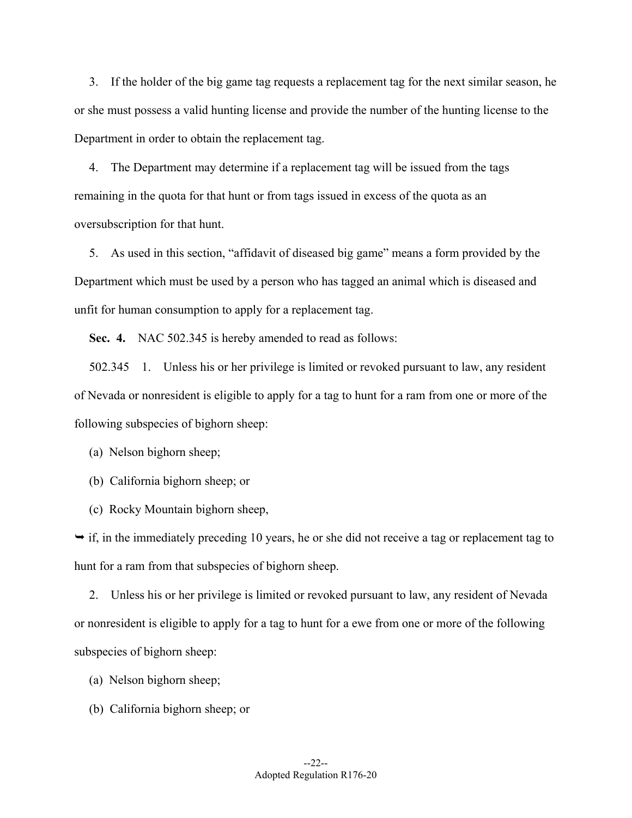3. If the holder of the big game tag requests a replacement tag for the next similar season, he or she must possess a valid hunting license and provide the number of the hunting license to the Department in order to obtain the replacement tag.

4. The Department may determine if a replacement tag will be issued from the tags remaining in the quota for that hunt or from tags issued in excess of the quota as an oversubscription for that hunt.

5. As used in this section, "affidavit of diseased big game" means a form provided by the Department which must be used by a person who has tagged an animal which is diseased and unfit for human consumption to apply for a replacement tag.

**Sec. 4.** NAC 502.345 is hereby amended to read as follows:

502.345 1. Unless his or her privilege is limited or revoked pursuant to law, any resident of Nevada or nonresident is eligible to apply for a tag to hunt for a ram from one or more of the following subspecies of bighorn sheep:

(a) Nelson bighorn sheep;

(b) California bighorn sheep; or

(c) Rocky Mountain bighorn sheep,

 $\rightarrow$  if, in the immediately preceding 10 years, he or she did not receive a tag or replacement tag to hunt for a ram from that subspecies of bighorn sheep.

2. Unless his or her privilege is limited or revoked pursuant to law, any resident of Nevada or nonresident is eligible to apply for a tag to hunt for a ewe from one or more of the following subspecies of bighorn sheep:

- (a) Nelson bighorn sheep;
- (b) California bighorn sheep; or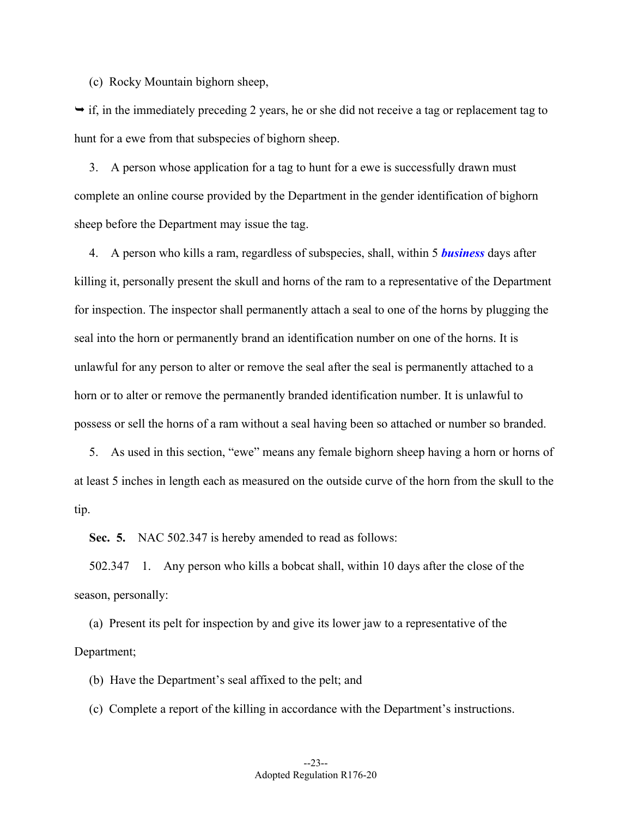(c) Rocky Mountain bighorn sheep,

 $\rightarrow$  if, in the immediately preceding 2 years, he or she did not receive a tag or replacement tag to hunt for a ewe from that subspecies of bighorn sheep.

3. A person whose application for a tag to hunt for a ewe is successfully drawn must complete an online course provided by the Department in the gender identification of bighorn sheep before the Department may issue the tag.

4. A person who kills a ram, regardless of subspecies, shall, within 5 *business* days after killing it, personally present the skull and horns of the ram to a representative of the Department for inspection. The inspector shall permanently attach a seal to one of the horns by plugging the seal into the horn or permanently brand an identification number on one of the horns. It is unlawful for any person to alter or remove the seal after the seal is permanently attached to a horn or to alter or remove the permanently branded identification number. It is unlawful to possess or sell the horns of a ram without a seal having been so attached or number so branded.

5. As used in this section, "ewe" means any female bighorn sheep having a horn or horns of at least 5 inches in length each as measured on the outside curve of the horn from the skull to the tip.

**Sec. 5.** NAC 502.347 is hereby amended to read as follows:

502.347 1. Any person who kills a bobcat shall, within 10 days after the close of the season, personally:

(a) Present its pelt for inspection by and give its lower jaw to a representative of the Department;

(b) Have the Department's seal affixed to the pelt; and

(c) Complete a report of the killing in accordance with the Department's instructions.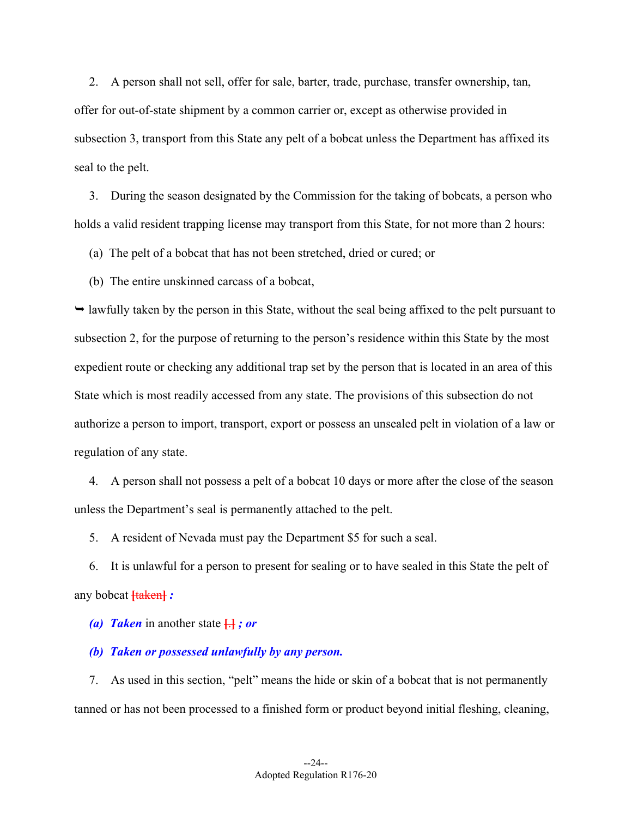2. A person shall not sell, offer for sale, barter, trade, purchase, transfer ownership, tan, offer for out-of-state shipment by a common carrier or, except as otherwise provided in subsection 3, transport from this State any pelt of a bobcat unless the Department has affixed its seal to the pelt.

3. During the season designated by the Commission for the taking of bobcats, a person who holds a valid resident trapping license may transport from this State, for not more than 2 hours:

(a) The pelt of a bobcat that has not been stretched, dried or cured; or

(b) The entire unskinned carcass of a bobcat,

 $\rightarrow$  lawfully taken by the person in this State, without the seal being affixed to the pelt pursuant to subsection 2, for the purpose of returning to the person's residence within this State by the most expedient route or checking any additional trap set by the person that is located in an area of this State which is most readily accessed from any state. The provisions of this subsection do not authorize a person to import, transport, export or possess an unsealed pelt in violation of a law or regulation of any state.

4. A person shall not possess a pelt of a bobcat 10 days or more after the close of the season unless the Department's seal is permanently attached to the pelt.

5. A resident of Nevada must pay the Department \$5 for such a seal.

6. It is unlawful for a person to present for sealing or to have sealed in this State the pelt of any bobcat **[**taken**]** *:* 

*(a) Taken* in another state **[**.**]** *; or* 

#### *(b) Taken or possessed unlawfully by any person.*

7. As used in this section, "pelt" means the hide or skin of a bobcat that is not permanently tanned or has not been processed to a finished form or product beyond initial fleshing, cleaning,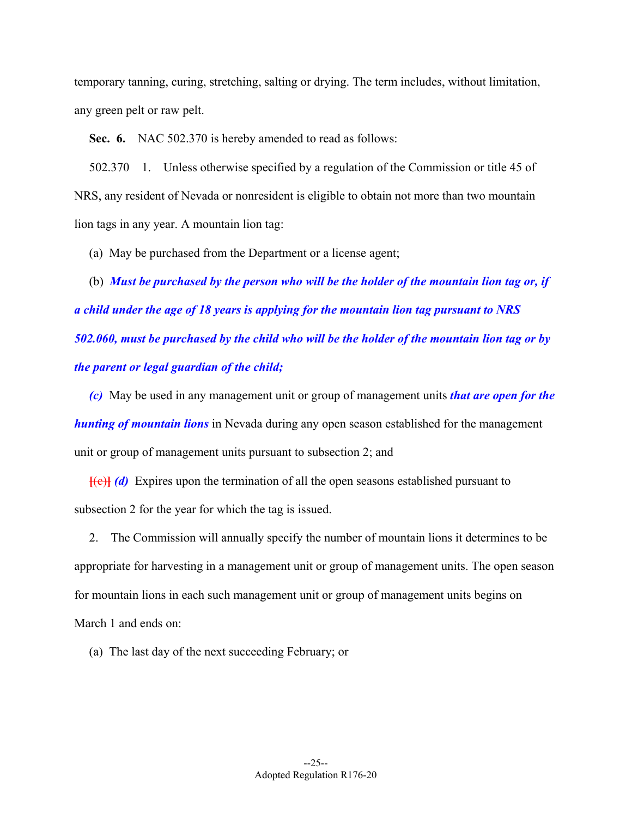temporary tanning, curing, stretching, salting or drying. The term includes, without limitation, any green pelt or raw pelt.

**Sec. 6.** NAC 502.370 is hereby amended to read as follows:

502.370 1. Unless otherwise specified by a regulation of the Commission or title 45 of NRS, any resident of Nevada or nonresident is eligible to obtain not more than two mountain lion tags in any year. A mountain lion tag:

(a) May be purchased from the Department or a license agent;

(b) *Must be purchased by the person who will be the holder of the mountain lion tag or, if a child under the age of 18 years is applying for the mountain lion tag pursuant to NRS 502.060, must be purchased by the child who will be the holder of the mountain lion tag or by the parent or legal guardian of the child;* 

*(c)* May be used in any management unit or group of management units *that are open for the hunting of mountain lions* in Nevada during any open season established for the management unit or group of management units pursuant to subsection 2; and

**[(e)]** (d) Expires upon the termination of all the open seasons established pursuant to subsection 2 for the year for which the tag is issued.

2. The Commission will annually specify the number of mountain lions it determines to be appropriate for harvesting in a management unit or group of management units. The open season for mountain lions in each such management unit or group of management units begins on March 1 and ends on:

(a) The last day of the next succeeding February; or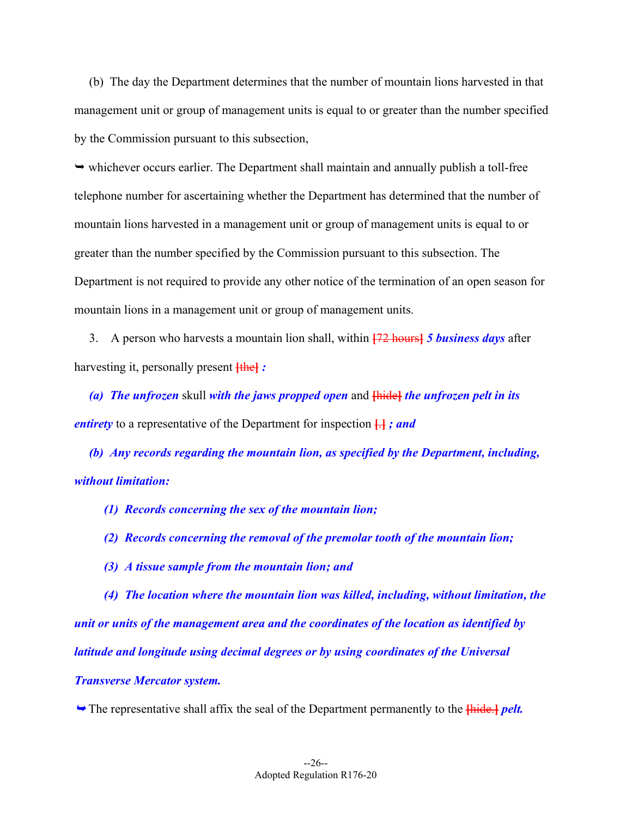(b) The day the Department determines that the number of mountain lions harvested in that management unit or group of management units is equal to or greater than the number specified by the Commission pursuant to this subsection,

 $\rightarrow$  whichever occurs earlier. The Department shall maintain and annually publish a toll-free telephone number for ascertaining whether the Department has determined that the number of mountain lions harvested in a management unit or group of management units is equal to or greater than the number specified by the Commission pursuant to this subsection. The Department is not required to provide any other notice of the termination of an open season for mountain lions in a management unit or group of management units.

3. A person who harvests a mountain lion shall, within **[**72 hours**]** *5 business days* after harvesting it, personally present **[**the**]** *:* 

*(a) The unfrozen* skull *with the jaws propped open* and **[**hide**]** *the unfrozen pelt in its entirety* to a representative of the Department for inspection **[**.**]** *; and* 

*(b) Any records regarding the mountain lion, as specified by the Department, including, without limitation:* 

*(1) Records concerning the sex of the mountain lion;* 

*(2) Records concerning the removal of the premolar tooth of the mountain lion;* 

*(3) A tissue sample from the mountain lion; and* 

*(4) The location where the mountain lion was killed, including, without limitation, the unit or units of the management area and the coordinates of the location as identified by latitude and longitude using decimal degrees or by using coordinates of the Universal Transverse Mercator system.* 

The representative shall affix the seal of the Department permanently to the **[**hide.**]** *pelt.*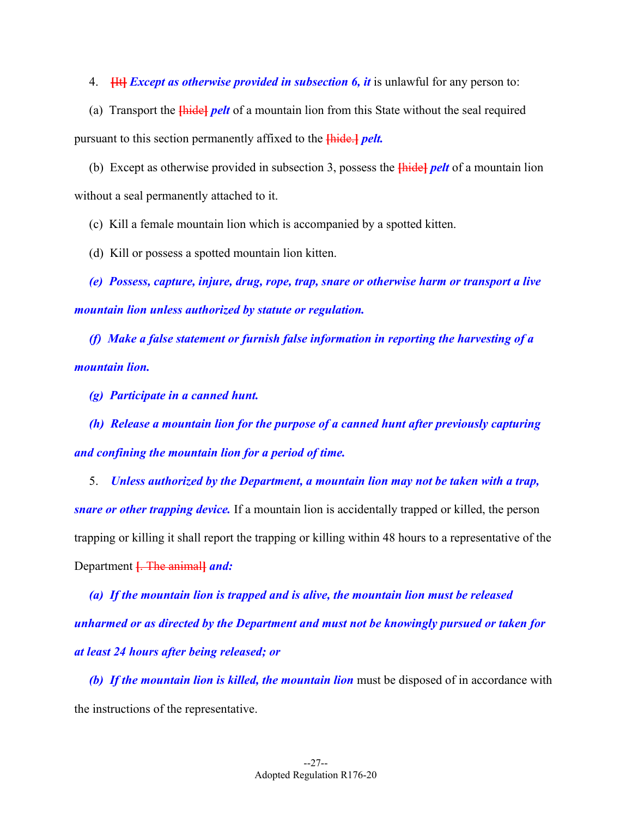4. **[**It**]** *Except as otherwise provided in subsection 6, it* is unlawful for any person to:

(a) Transport the **[**hide**]** *pelt* of a mountain lion from this State without the seal required pursuant to this section permanently affixed to the **[**hide.**]** *pelt.* 

(b) Except as otherwise provided in subsection 3, possess the **[**hide**]** *pelt* of a mountain lion without a seal permanently attached to it.

(c) Kill a female mountain lion which is accompanied by a spotted kitten.

(d) Kill or possess a spotted mountain lion kitten.

*(e) Possess, capture, injure, drug, rope, trap, snare or otherwise harm or transport a live mountain lion unless authorized by statute or regulation.* 

*(f) Make a false statement or furnish false information in reporting the harvesting of a mountain lion.* 

*(g) Participate in a canned hunt.* 

*(h) Release a mountain lion for the purpose of a canned hunt after previously capturing and confining the mountain lion for a period of time.* 

5. *Unless authorized by the Department, a mountain lion may not be taken with a trap, snare or other trapping device.* If a mountain lion is accidentally trapped or killed, the person trapping or killing it shall report the trapping or killing within 48 hours to a representative of the Department **[**. The animal**]** *and:* 

*(a) If the mountain lion is trapped and is alive, the mountain lion must be released unharmed or as directed by the Department and must not be knowingly pursued or taken for at least 24 hours after being released; or* 

*(b) If the mountain lion is killed, the mountain lion* must be disposed of in accordance with the instructions of the representative.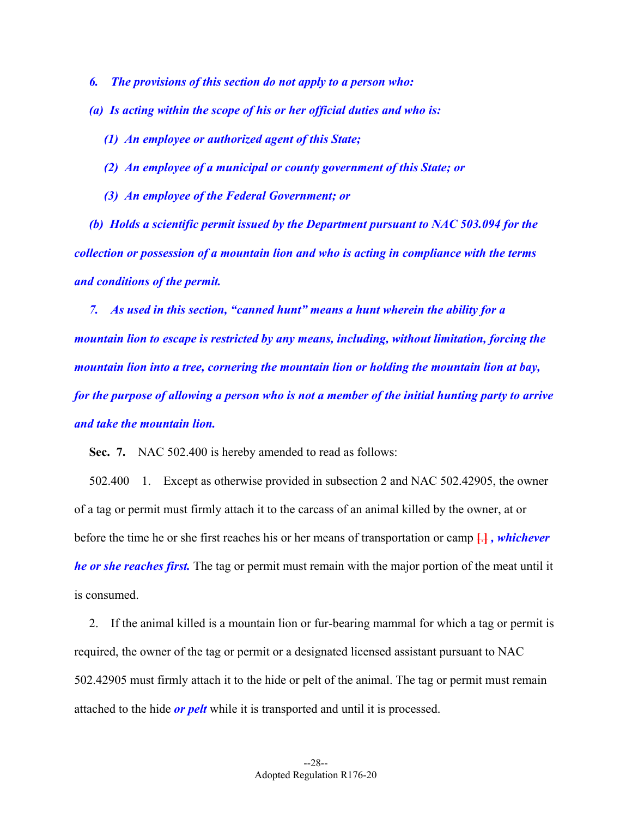*6. The provisions of this section do not apply to a person who:* 

*(a) Is acting within the scope of his or her official duties and who is:* 

*(1) An employee or authorized agent of this State;* 

- *(2) An employee of a municipal or county government of this State; or*
- *(3) An employee of the Federal Government; or*

*(b) Holds a scientific permit issued by the Department pursuant to NAC 503.094 for the collection or possession of a mountain lion and who is acting in compliance with the terms and conditions of the permit.* 

*7. As used in this section, "canned hunt" means a hunt wherein the ability for a mountain lion to escape is restricted by any means, including, without limitation, forcing the mountain lion into a tree, cornering the mountain lion or holding the mountain lion at bay, for the purpose of allowing a person who is not a member of the initial hunting party to arrive and take the mountain lion.* 

**Sec. 7.** NAC 502.400 is hereby amended to read as follows:

- before the time he or she first reaches his or her means of transportation or camp **[**.**]** *, whichever*  502.400 1. Except as otherwise provided in subsection 2 and NAC 502.42905, the owner of a tag or permit must firmly attach it to the carcass of an animal killed by the owner, at or *he or she reaches first.* The tag or permit must remain with the major portion of the meat until it is consumed.

2. If the animal killed is a mountain lion or fur-bearing mammal for which a tag or permit is required, the owner of the tag or permit or a designated licensed assistant pursuant to NAC 502.42905 must firmly attach it to the hide or pelt of the animal. The tag or permit must remain attached to the hide *or pelt* while it is transported and until it is processed.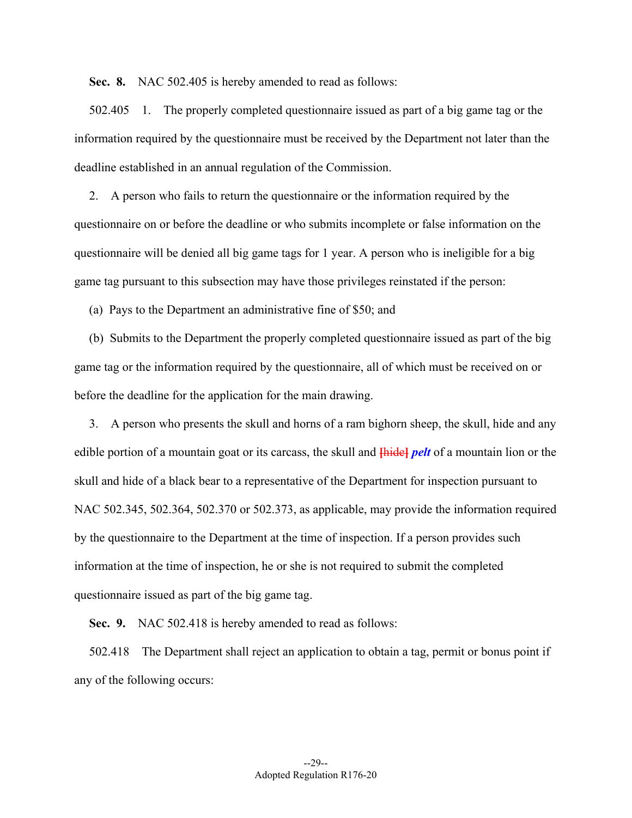**Sec. 8.** NAC 502.405 is hereby amended to read as follows:

502.405 1. The properly completed questionnaire issued as part of a big game tag or the information required by the questionnaire must be received by the Department not later than the deadline established in an annual regulation of the Commission.

2. A person who fails to return the questionnaire or the information required by the questionnaire on or before the deadline or who submits incomplete or false information on the questionnaire will be denied all big game tags for 1 year. A person who is ineligible for a big game tag pursuant to this subsection may have those privileges reinstated if the person:

(a) Pays to the Department an administrative fine of \$50; and

(b) Submits to the Department the properly completed questionnaire issued as part of the big game tag or the information required by the questionnaire, all of which must be received on or before the deadline for the application for the main drawing.

edible portion of a mountain goat or its carcass, the skull and  $\frac{E}{E}$  *pelt* of a mountain lion or the 3. A person who presents the skull and horns of a ram bighorn sheep, the skull, hide and any skull and hide of a black bear to a representative of the Department for inspection pursuant to NAC 502.345, 502.364, 502.370 or 502.373, as applicable, may provide the information required by the questionnaire to the Department at the time of inspection. If a person provides such information at the time of inspection, he or she is not required to submit the completed questionnaire issued as part of the big game tag.

**Sec. 9.** NAC 502.418 is hereby amended to read as follows:

502.418 The Department shall reject an application to obtain a tag, permit or bonus point if any of the following occurs: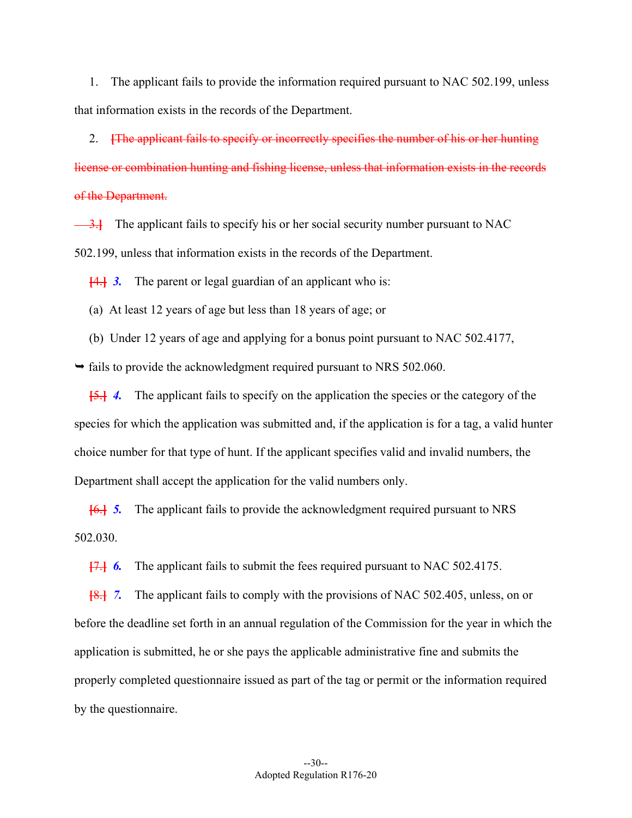1. The applicant fails to provide the information required pursuant to NAC 502.199, unless that information exists in the records of the Department.

2. **[**The applicant fails to specify or incorrectly specifies the number of his or her hunting license or combination hunting and fishing license, unless that information exists in the records of the Department.

**3.** The applicant fails to specify his or her social security number pursuant to NAC 502.199, unless that information exists in the records of the Department.

**[**4.**]** *3.* The parent or legal guardian of an applicant who is:

(a) At least 12 years of age but less than 18 years of age; or

(b) Under 12 years of age and applying for a bonus point pursuant to NAC 502.4177,

 $\rightarrow$  fails to provide the acknowledgment required pursuant to NRS 502.060.

**[**5.**]** *4.* The applicant fails to specify on the application the species or the category of the species for which the application was submitted and, if the application is for a tag, a valid hunter choice number for that type of hunt. If the applicant specifies valid and invalid numbers, the Department shall accept the application for the valid numbers only.

**[**6.**]** *5.* The applicant fails to provide the acknowledgment required pursuant to NRS 502.030.

**[**7.**]** *6.* The applicant fails to submit the fees required pursuant to NAC 502.4175.

**[**8.**]** *7.* The applicant fails to comply with the provisions of NAC 502.405, unless, on or before the deadline set forth in an annual regulation of the Commission for the year in which the application is submitted, he or she pays the applicable administrative fine and submits the properly completed questionnaire issued as part of the tag or permit or the information required by the questionnaire.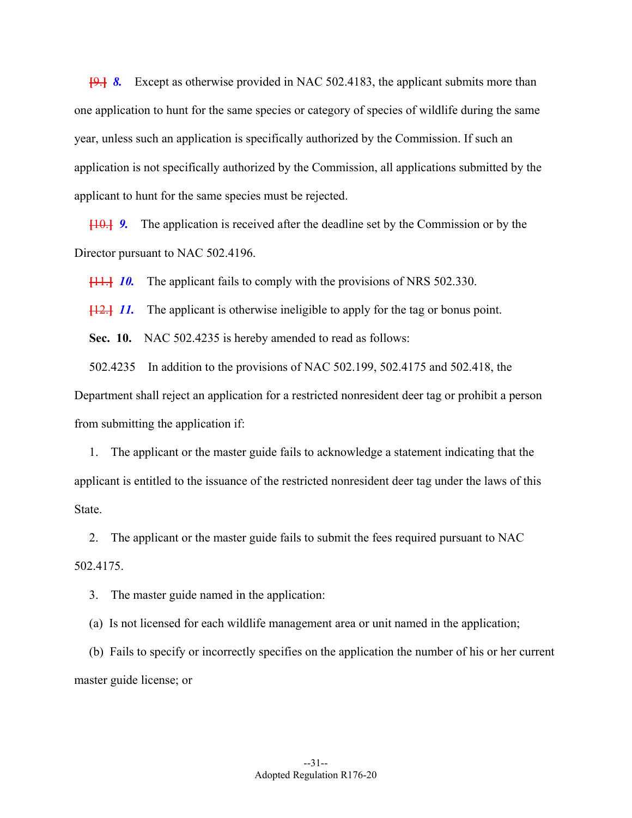**[**9.**]** *8.* Except as otherwise provided in NAC 502.4183, the applicant submits more than one application to hunt for the same species or category of species of wildlife during the same year, unless such an application is specifically authorized by the Commission. If such an application is not specifically authorized by the Commission, all applications submitted by the applicant to hunt for the same species must be rejected.

**[**10.**]** *9.* The application is received after the deadline set by the Commission or by the Director pursuant to NAC 502.4196.

**[**11.**]** *10.* The applicant fails to comply with the provisions of NRS 502.330.

**[**12.**]** *11.* The applicant is otherwise ineligible to apply for the tag or bonus point.

**Sec. 10.** NAC 502.4235 is hereby amended to read as follows:

502.4235 In addition to the provisions of NAC 502.199, 502.4175 and 502.418, the

Department shall reject an application for a restricted nonresident deer tag or prohibit a person from submitting the application if:

1. The applicant or the master guide fails to acknowledge a statement indicating that the applicant is entitled to the issuance of the restricted nonresident deer tag under the laws of this State.

2. The applicant or the master guide fails to submit the fees required pursuant to NAC 502.4175.

3. The master guide named in the application:

(a) Is not licensed for each wildlife management area or unit named in the application;

(b) Fails to specify or incorrectly specifies on the application the number of his or her current master guide license; or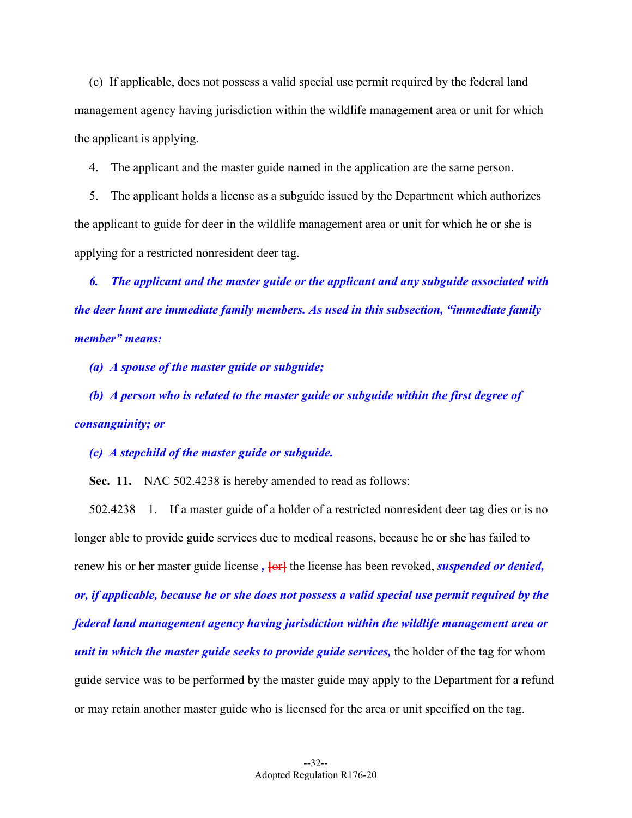(c) If applicable, does not possess a valid special use permit required by the federal land management agency having jurisdiction within the wildlife management area or unit for which the applicant is applying.

4. The applicant and the master guide named in the application are the same person.

5. The applicant holds a license as a subguide issued by the Department which authorizes the applicant to guide for deer in the wildlife management area or unit for which he or she is applying for a restricted nonresident deer tag.

*6. The applicant and the master guide or the applicant and any subguide associated with the deer hunt are immediate family members. As used in this subsection, "immediate family member" means:* 

*(a) A spouse of the master guide or subguide;* 

*(b) A person who is related to the master guide or subguide within the first degree of consanguinity; or* 

*(c) A stepchild of the master guide or subguide.* 

**Sec. 11.** NAC 502.4238 is hereby amended to read as follows:

 502.4238 1. If a master guide of a holder of a restricted nonresident deer tag dies or is no renew his or her master guide license,  $\overline{\text{for}}$  the license has been revoked, *suspended or denied*, longer able to provide guide services due to medical reasons, because he or she has failed to *or, if applicable, because he or she does not possess a valid special use permit required by the federal land management agency having jurisdiction within the wildlife management area or unit in which the master guide seeks to provide guide services,* the holder of the tag for whom guide service was to be performed by the master guide may apply to the Department for a refund or may retain another master guide who is licensed for the area or unit specified on the tag.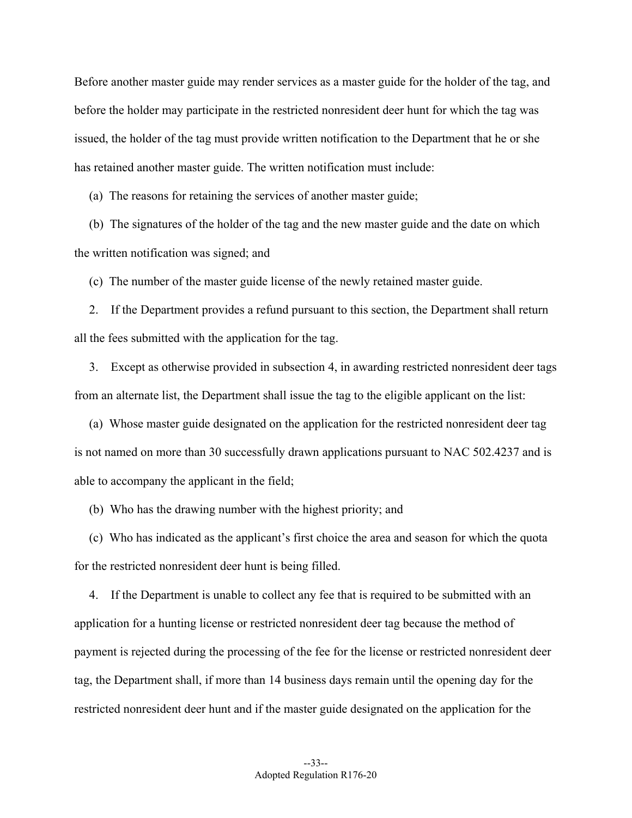Before another master guide may render services as a master guide for the holder of the tag, and before the holder may participate in the restricted nonresident deer hunt for which the tag was issued, the holder of the tag must provide written notification to the Department that he or she has retained another master guide. The written notification must include:

(a) The reasons for retaining the services of another master guide;

(b) The signatures of the holder of the tag and the new master guide and the date on which the written notification was signed; and

(c) The number of the master guide license of the newly retained master guide.

2. If the Department provides a refund pursuant to this section, the Department shall return all the fees submitted with the application for the tag.

3. Except as otherwise provided in subsection 4, in awarding restricted nonresident deer tags from an alternate list, the Department shall issue the tag to the eligible applicant on the list:

(a) Whose master guide designated on the application for the restricted nonresident deer tag is not named on more than 30 successfully drawn applications pursuant to NAC 502.4237 and is able to accompany the applicant in the field;

(b) Who has the drawing number with the highest priority; and

(c) Who has indicated as the applicant's first choice the area and season for which the quota for the restricted nonresident deer hunt is being filled.

4. If the Department is unable to collect any fee that is required to be submitted with an application for a hunting license or restricted nonresident deer tag because the method of payment is rejected during the processing of the fee for the license or restricted nonresident deer tag, the Department shall, if more than 14 business days remain until the opening day for the restricted nonresident deer hunt and if the master guide designated on the application for the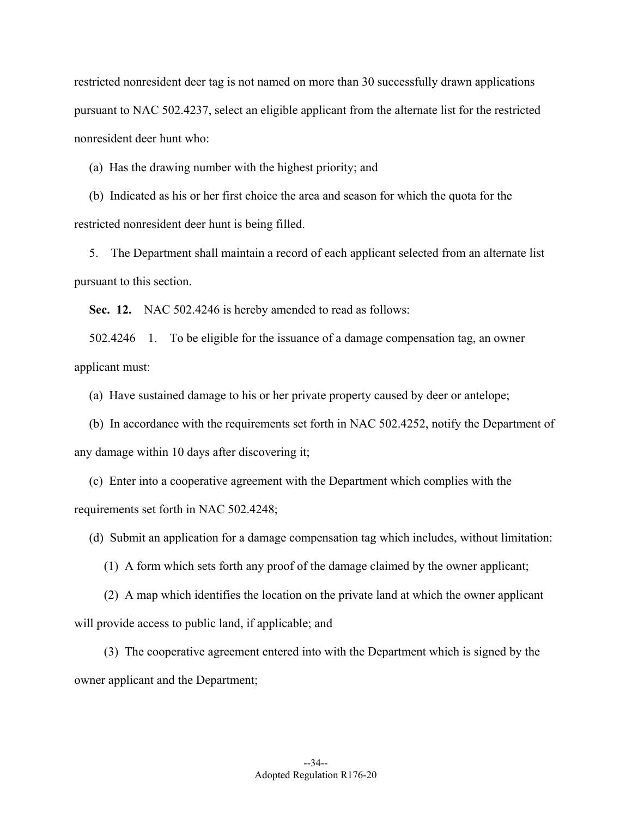restricted nonresident deer tag is not named on more than 30 successfully drawn applications pursuant to NAC 502.4237, select an eligible applicant from the alternate list for the restricted nonresident deer hunt who:

(a) Has the drawing number with the highest priority; and

(b) Indicated as his or her first choice the area and season for which the quota for the restricted nonresident deer hunt is being filled.

5. The Department shall maintain a record of each applicant selected from an alternate list pursuant to this section.

**Sec. 12.** NAC 502.4246 is hereby amended to read as follows:

 502.4246 1. To be eligible for the issuance of a damage compensation tag, an owner applicant must:

(a) Have sustained damage to his or her private property caused by deer or antelope;

(b) In accordance with the requirements set forth in NAC 502.4252, notify the Department of any damage within 10 days after discovering it;

(c) Enter into a cooperative agreement with the Department which complies with the requirements set forth in NAC 502.4248;

(d) Submit an application for a damage compensation tag which includes, without limitation:

(1) A form which sets forth any proof of the damage claimed by the owner applicant;

(2) A map which identifies the location on the private land at which the owner applicant will provide access to public land, if applicable; and

(3) The cooperative agreement entered into with the Department which is signed by the owner applicant and the Department;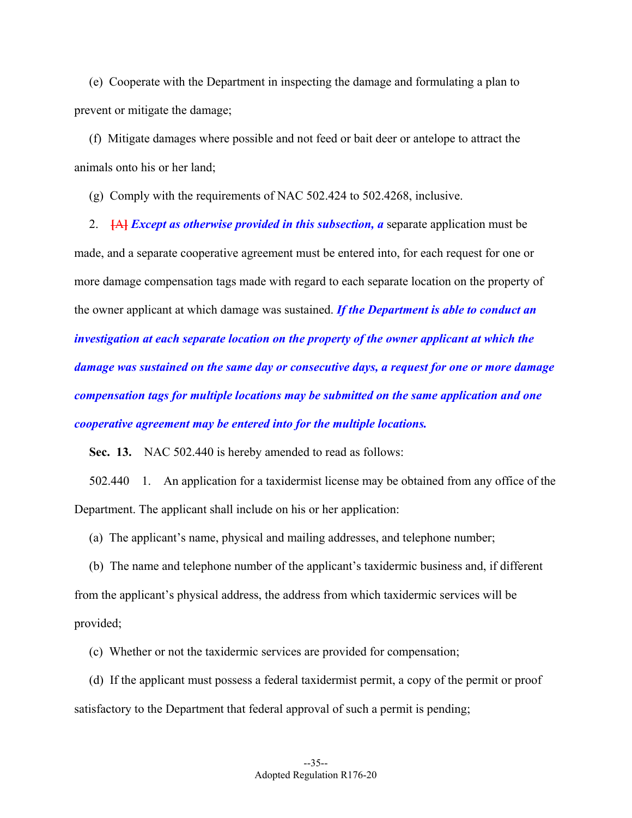(e) Cooperate with the Department in inspecting the damage and formulating a plan to prevent or mitigate the damage;

(f) Mitigate damages where possible and not feed or bait deer or antelope to attract the animals onto his or her land;

(g) Comply with the requirements of NAC 502.424 to 502.4268, inclusive.

2. **[A]** *Except as otherwise provided in this subsection, a* **separate application must be** made, and a separate cooperative agreement must be entered into, for each request for one or more damage compensation tags made with regard to each separate location on the property of the owner applicant at which damage was sustained. *If the Department is able to conduct an investigation at each separate location on the property of the owner applicant at which the damage was sustained on the same day or consecutive days, a request for one or more damage compensation tags for multiple locations may be submitted on the same application and one cooperative agreement may be entered into for the multiple locations.* 

**Sec. 13.** NAC 502.440 is hereby amended to read as follows:

502.440 1. An application for a taxidermist license may be obtained from any office of the Department. The applicant shall include on his or her application:

(a) The applicant's name, physical and mailing addresses, and telephone number;

(b) The name and telephone number of the applicant's taxidermic business and, if different from the applicant's physical address, the address from which taxidermic services will be provided;

(c) Whether or not the taxidermic services are provided for compensation;

(d) If the applicant must possess a federal taxidermist permit, a copy of the permit or proof satisfactory to the Department that federal approval of such a permit is pending;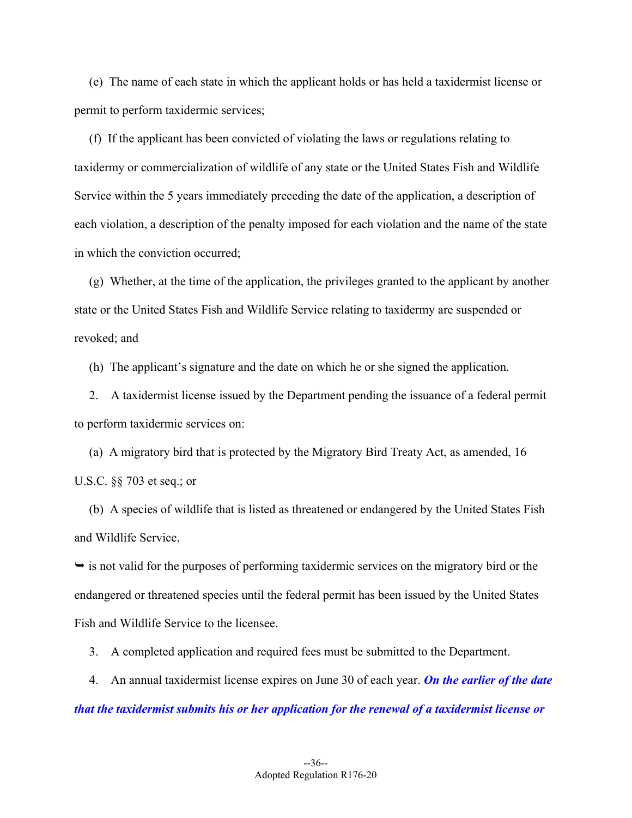(e) The name of each state in which the applicant holds or has held a taxidermist license or permit to perform taxidermic services;

(f) If the applicant has been convicted of violating the laws or regulations relating to taxidermy or commercialization of wildlife of any state or the United States Fish and Wildlife Service within the 5 years immediately preceding the date of the application, a description of each violation, a description of the penalty imposed for each violation and the name of the state in which the conviction occurred;

(g) Whether, at the time of the application, the privileges granted to the applicant by another state or the United States Fish and Wildlife Service relating to taxidermy are suspended or revoked; and

(h) The applicant's signature and the date on which he or she signed the application.

2. A taxidermist license issued by the Department pending the issuance of a federal permit to perform taxidermic services on:

(a) A migratory bird that is protected by the Migratory Bird Treaty Act, as amended, 16 U.S.C. §§ 703 et seq.; or

 and Wildlife Service, (b) A species of wildlife that is listed as threatened or endangered by the United States Fish

 $\rightarrow$  is not valid for the purposes of performing taxidermic services on the migratory bird or the endangered or threatened species until the federal permit has been issued by the United States Fish and Wildlife Service to the licensee.

3. A completed application and required fees must be submitted to the Department.

4. An annual taxidermist license expires on June 30 of each year. *On the earlier of the date that the taxidermist submits his or her application for the renewal of a taxidermist license or*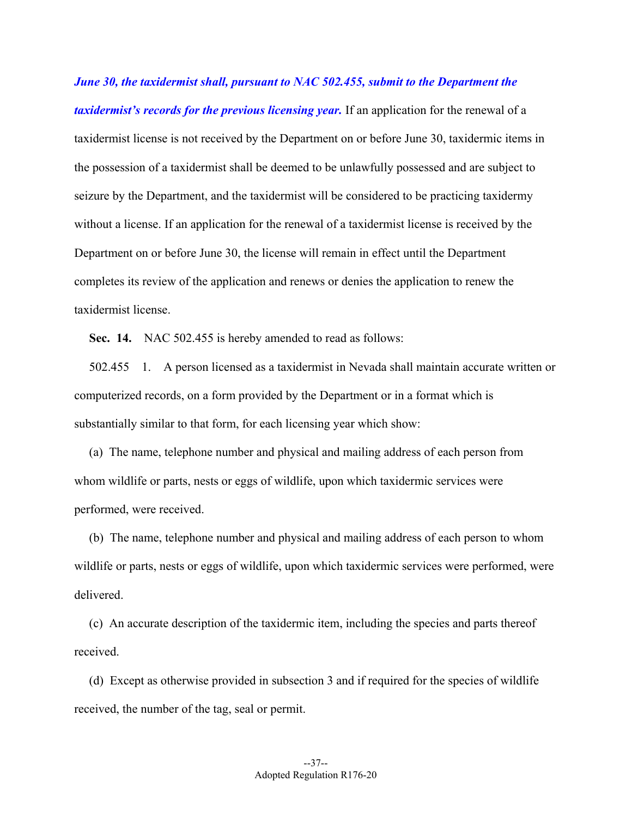*June 30, the taxidermist shall, pursuant to NAC 502.455, submit to the Department the taxidermist's records for the previous licensing year.* If an application for the renewal of a taxidermist license is not received by the Department on or before June 30, taxidermic items in the possession of a taxidermist shall be deemed to be unlawfully possessed and are subject to seizure by the Department, and the taxidermist will be considered to be practicing taxidermy without a license. If an application for the renewal of a taxidermist license is received by the Department on or before June 30, the license will remain in effect until the Department completes its review of the application and renews or denies the application to renew the taxidermist license.

**Sec. 14.** NAC 502.455 is hereby amended to read as follows:

502.455 1. A person licensed as a taxidermist in Nevada shall maintain accurate written or computerized records, on a form provided by the Department or in a format which is substantially similar to that form, for each licensing year which show:

(a) The name, telephone number and physical and mailing address of each person from whom wildlife or parts, nests or eggs of wildlife, upon which taxidermic services were performed, were received.

(b) The name, telephone number and physical and mailing address of each person to whom wildlife or parts, nests or eggs of wildlife, upon which taxidermic services were performed, were delivered.

(c) An accurate description of the taxidermic item, including the species and parts thereof received.

(d) Except as otherwise provided in subsection 3 and if required for the species of wildlife received, the number of the tag, seal or permit.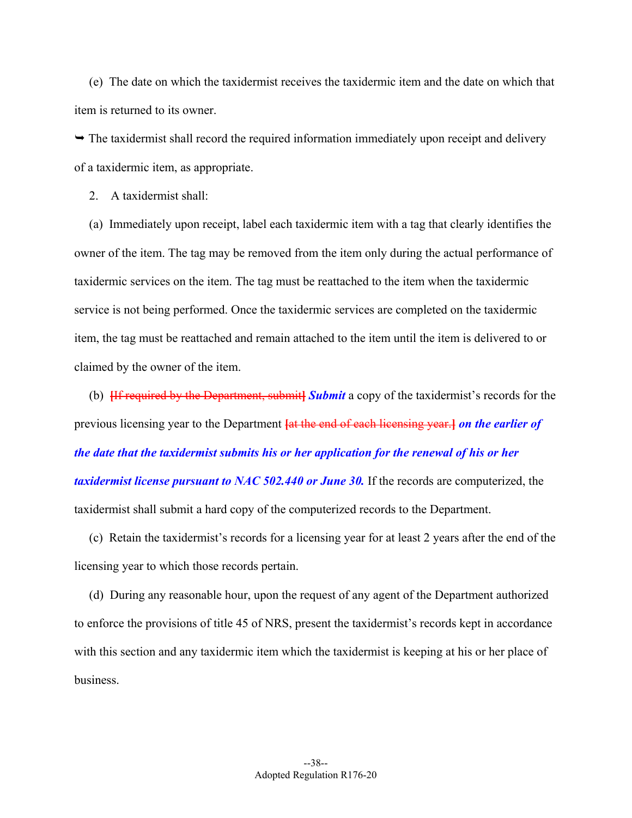(e) The date on which the taxidermist receives the taxidermic item and the date on which that item is returned to its owner.

 $\rightarrow$  The taxidermist shall record the required information immediately upon receipt and delivery of a taxidermic item, as appropriate.

2. A taxidermist shall:

(a) Immediately upon receipt, label each taxidermic item with a tag that clearly identifies the owner of the item. The tag may be removed from the item only during the actual performance of taxidermic services on the item. The tag must be reattached to the item when the taxidermic service is not being performed. Once the taxidermic services are completed on the taxidermic item, the tag must be reattached and remain attached to the item until the item is delivered to or claimed by the owner of the item.

(b) **[**If required by the Department, submit**]** *Submit* a copy of the taxidermist's records for the previous licensing year to the Department **[**at the end of each licensing year.**]** *on the earlier of the date that the taxidermist submits his or her application for the renewal of his or her taxidermist license pursuant to NAC 502.440 or June 30.* If the records are computerized, the taxidermist shall submit a hard copy of the computerized records to the Department.

(c) Retain the taxidermist's records for a licensing year for at least 2 years after the end of the licensing year to which those records pertain.

(d) During any reasonable hour, upon the request of any agent of the Department authorized to enforce the provisions of title 45 of NRS, present the taxidermist's records kept in accordance with this section and any taxidermic item which the taxidermist is keeping at his or her place of business.